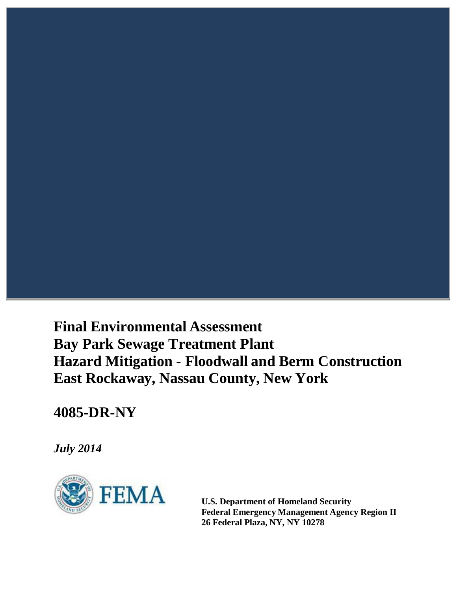# **Final Environmental Assessment Bay Park Sewage Treatment Plant Hazard Mitigation - Floodwall and Berm Construction East Rockaway, Nassau County, New York**

## **4085-DR-NY**

*July 2014*



**U.S. Department of Homeland Security Federal Emergency Management Agency Region II 26 Federal Plaza, NY, NY 10278**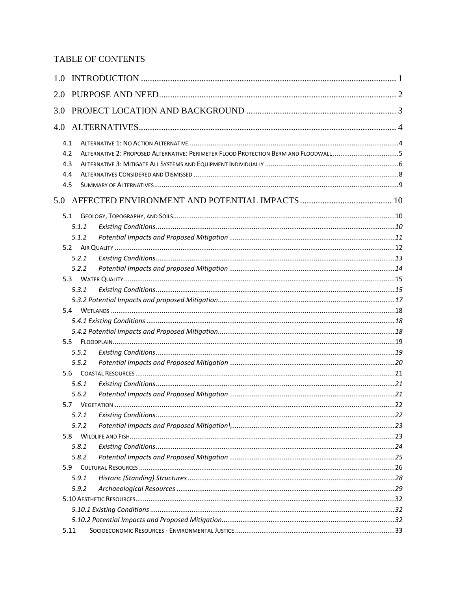## TABLE OF CONTENTS

| 1.0 |                                                                                      |  |
|-----|--------------------------------------------------------------------------------------|--|
| 2.0 |                                                                                      |  |
| 3.0 |                                                                                      |  |
|     |                                                                                      |  |
| 4.1 |                                                                                      |  |
| 4.2 | ALTERNATIVE 2: PROPOSED ALTERNATIVE: PERIMETER FLOOD PROTECTION BERM AND FLOODWALL 5 |  |
| 4.3 |                                                                                      |  |
| 4.4 |                                                                                      |  |
| 4.5 |                                                                                      |  |
|     |                                                                                      |  |
| 5.1 |                                                                                      |  |
|     | 5.1.1                                                                                |  |
|     | 5.1.2                                                                                |  |
|     |                                                                                      |  |
|     | 5.2.1                                                                                |  |
|     | 5.2.2                                                                                |  |
|     |                                                                                      |  |
|     | 5.3.1                                                                                |  |
|     |                                                                                      |  |
| 5.4 |                                                                                      |  |
|     |                                                                                      |  |
|     |                                                                                      |  |
| 5.5 |                                                                                      |  |
|     | 5.5.1                                                                                |  |
|     | 5.5.2                                                                                |  |
|     |                                                                                      |  |
|     | 5.6.1                                                                                |  |
|     | 5.6.2                                                                                |  |
|     | 5.7                                                                                  |  |
|     | 5.7.1                                                                                |  |
|     | 5.7.2                                                                                |  |
| 5.8 |                                                                                      |  |
|     | 5.8.1                                                                                |  |
|     | 5.8.2                                                                                |  |
| 5.9 |                                                                                      |  |
|     | 5.9.1                                                                                |  |
|     | 5.9.2                                                                                |  |
|     |                                                                                      |  |
|     |                                                                                      |  |
|     |                                                                                      |  |
|     | 5.11                                                                                 |  |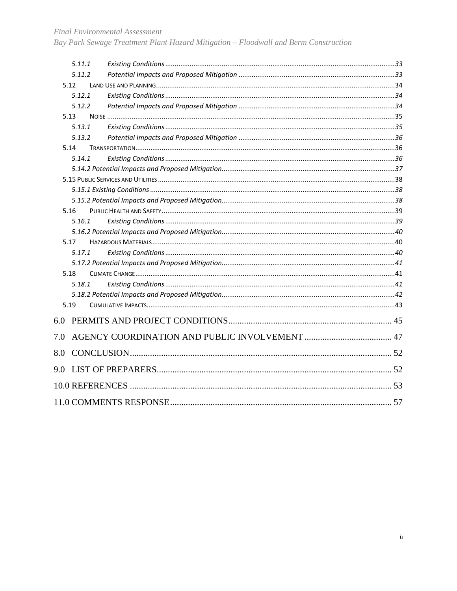Bay Park Sewage Treatment Plant Hazard Mitigation - Floodwall and Berm Construction

|     | 5.11.1 |  |
|-----|--------|--|
|     | 5.11.2 |  |
|     | 5.12   |  |
|     | 5.12.1 |  |
|     | 5.12.2 |  |
|     | 5.13   |  |
|     | 5.13.1 |  |
|     | 5.13.2 |  |
|     | 5.14   |  |
|     | 5.14.1 |  |
|     |        |  |
|     |        |  |
|     |        |  |
|     |        |  |
|     | 5.16   |  |
|     | 5.16.1 |  |
|     |        |  |
|     | 5.17   |  |
|     | 5.17.1 |  |
|     |        |  |
|     | 5.18   |  |
|     | 5.18.1 |  |
|     |        |  |
|     | 5.19   |  |
| 6.0 |        |  |
| 7.0 |        |  |
| 8.0 |        |  |
| 9.0 |        |  |
|     |        |  |
|     |        |  |
|     |        |  |
|     |        |  |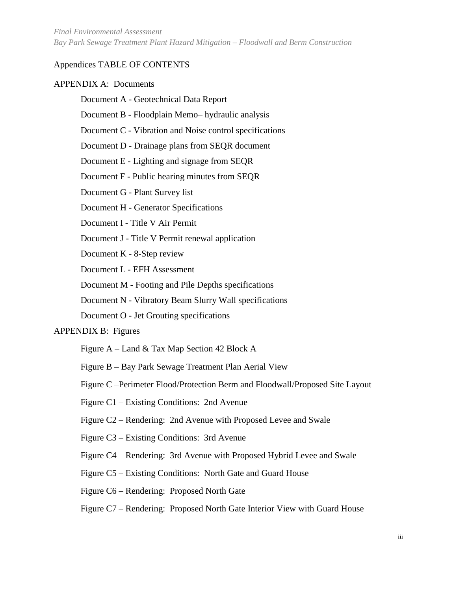#### Appendices TABLE OF CONTENTS

#### APPENDIX A: Documents

- Document A Geotechnical Data Report
- Document B Floodplain Memo– hydraulic analysis
- Document C Vibration and Noise control specifications
- Document D Drainage plans from SEQR document
- Document E Lighting and signage from SEQR
- Document F Public hearing minutes from SEQR
- Document G Plant Survey list
- Document H Generator Specifications
- Document I Title V Air Permit
- Document J Title V Permit renewal application
- Document K 8-Step review
- Document L EFH Assessment
- Document M Footing and Pile Depths specifications
- Document N Vibratory Beam Slurry Wall specifications
- Document O Jet Grouting specifications

#### APPENDIX B: Figures

- Figure A Land & Tax Map Section 42 Block A
- Figure B Bay Park Sewage Treatment Plan Aerial View
- Figure C –Perimeter Flood/Protection Berm and Floodwall/Proposed Site Layout
- Figure C1 Existing Conditions: 2nd Avenue
- Figure C2 Rendering: 2nd Avenue with Proposed Levee and Swale
- Figure C3 Existing Conditions: 3rd Avenue
- Figure C4 Rendering: 3rd Avenue with Proposed Hybrid Levee and Swale
- Figure C5 Existing Conditions: North Gate and Guard House
- Figure C6 Rendering: Proposed North Gate
- Figure C7 Rendering: Proposed North Gate Interior View with Guard House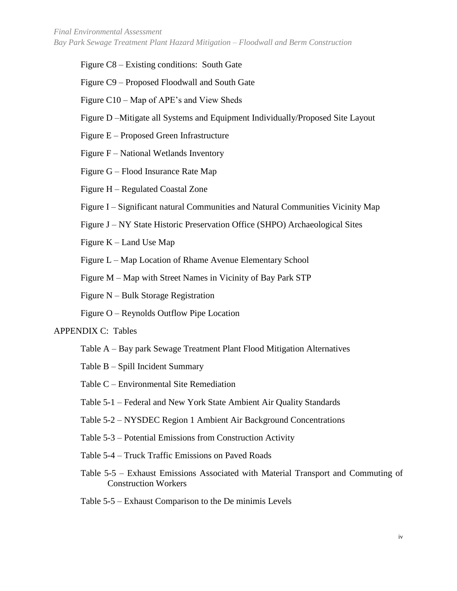Figure C8 – Existing conditions: South Gate

Figure C9 – Proposed Floodwall and South Gate

Figure C10 – Map of APE's and View Sheds

Figure D –Mitigate all Systems and Equipment Individually/Proposed Site Layout

Figure E – Proposed Green Infrastructure

Figure F – National Wetlands Inventory

Figure G – Flood Insurance Rate Map

Figure H – Regulated Coastal Zone

Figure I – Significant natural Communities and Natural Communities Vicinity Map

Figure J – NY State Historic Preservation Office (SHPO) Archaeological Sites

Figure K – Land Use Map

Figure L – Map Location of Rhame Avenue Elementary School

Figure M – Map with Street Names in Vicinity of Bay Park STP

Figure N – Bulk Storage Registration

Figure O – Reynolds Outflow Pipe Location

#### APPENDIX C: Tables

- Table A Bay park Sewage Treatment Plant Flood Mitigation Alternatives
- Table B Spill Incident Summary
- Table C Environmental Site Remediation
- Table 5-1 Federal and New York State Ambient Air Quality Standards
- Table 5-2 NYSDEC Region 1 Ambient Air Background Concentrations
- Table 5-3 Potential Emissions from Construction Activity
- Table 5-4 Truck Traffic Emissions on Paved Roads
- Table 5-5 Exhaust Emissions Associated with Material Transport and Commuting of Construction Workers
- Table 5-5 Exhaust Comparison to the De minimis Levels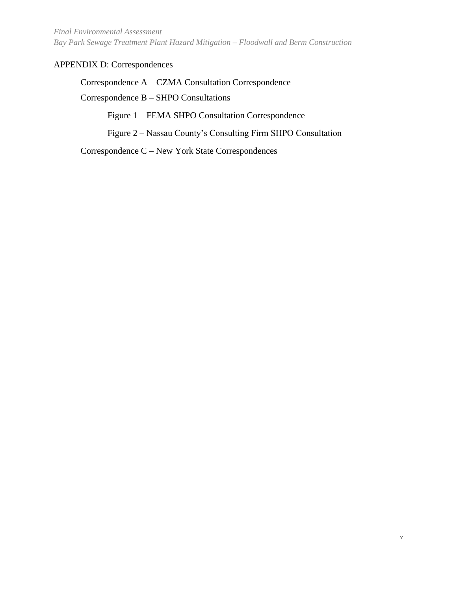*Final Environmental Assessment Bay Park Sewage Treatment Plant Hazard Mitigation – Floodwall and Berm Construction*

#### APPENDIX D: Correspondences

Correspondence A – CZMA Consultation Correspondence

Correspondence B – SHPO Consultations

Figure 1 – FEMA SHPO Consultation Correspondence

Figure 2 – Nassau County's Consulting Firm SHPO Consultation

Correspondence C – New York State Correspondences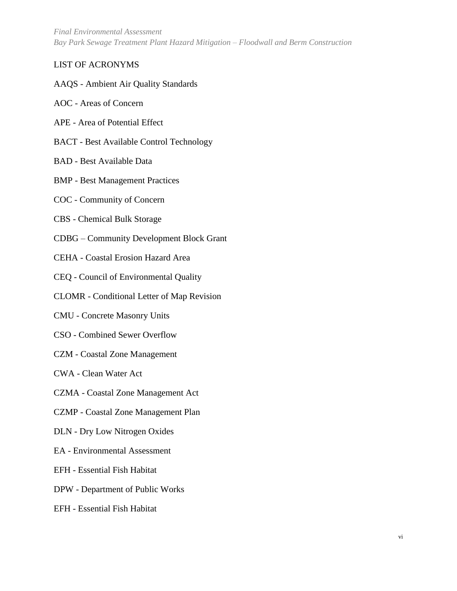*Final Environmental Assessment Bay Park Sewage Treatment Plant Hazard Mitigation – Floodwall and Berm Construction*

#### LIST OF ACRONYMS

- AAQS Ambient Air Quality Standards
- AOC Areas of Concern
- APE Area of Potential Effect
- BACT Best Available Control Technology
- BAD Best Available Data
- BMP Best Management Practices
- COC Community of Concern
- CBS Chemical Bulk Storage
- CDBG Community Development Block Grant
- CEHA Coastal Erosion Hazard Area
- CEQ Council of Environmental Quality
- CLOMR Conditional Letter of Map Revision
- CMU Concrete Masonry Units
- CSO Combined Sewer Overflow
- CZM Coastal Zone Management
- CWA Clean Water Act
- CZMA Coastal Zone Management Act
- CZMP Coastal Zone Management Plan
- DLN Dry Low Nitrogen Oxides
- EA Environmental Assessment
- EFH Essential Fish Habitat
- DPW Department of Public Works
- EFH Essential Fish Habitat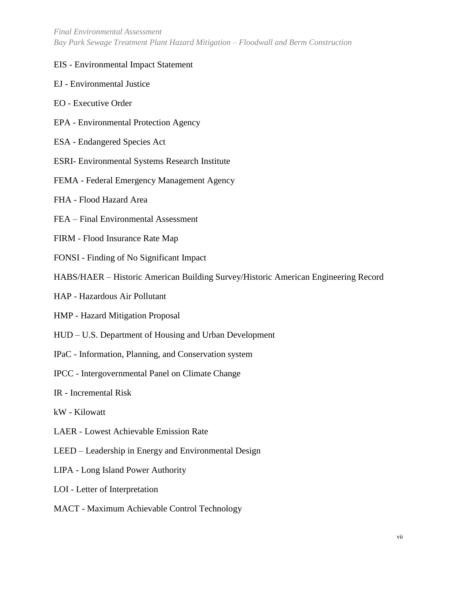#### EIS - Environmental Impact Statement

- EJ Environmental Justice
- EO Executive Order
- EPA Environmental Protection Agency
- ESA Endangered Species Act
- ESRI- Environmental Systems Research Institute
- FEMA Federal Emergency Management Agency
- FHA Flood Hazard Area
- FEA Final Environmental Assessment
- FIRM Flood Insurance Rate Map
- FONSI Finding of No Significant Impact
- HABS/HAER Historic American Building Survey/Historic American Engineering Record
- HAP Hazardous Air Pollutant
- HMP Hazard Mitigation Proposal
- HUD U.S. Department of Housing and Urban Development
- IPaC Information, Planning, and Conservation system
- IPCC Intergovernmental Panel on Climate Change
- IR Incremental Risk
- kW Kilowatt
- LAER Lowest Achievable Emission Rate
- LEED Leadership in Energy and Environmental Design
- LIPA Long Island Power Authority
- LOI Letter of Interpretation
- MACT Maximum Achievable Control Technology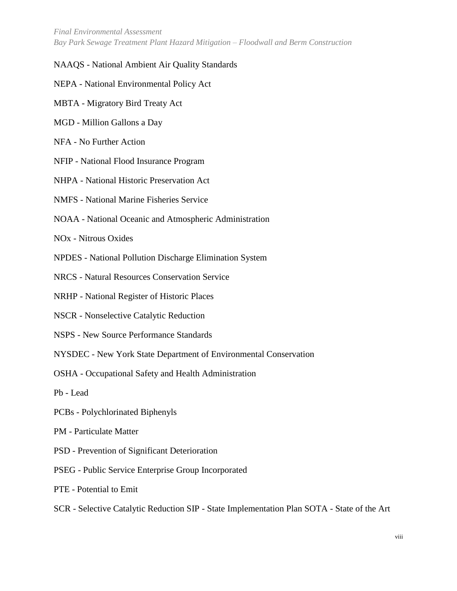*Final Environmental Assessment Bay Park Sewage Treatment Plant Hazard Mitigation – Floodwall and Berm Construction*

#### NAAQS - National Ambient Air Quality Standards

- NEPA National Environmental Policy Act
- MBTA Migratory Bird Treaty Act
- MGD Million Gallons a Day
- NFA No Further Action
- NFIP National Flood Insurance Program
- NHPA National Historic Preservation Act
- NMFS National Marine Fisheries Service
- NOAA National Oceanic and Atmospheric Administration
- NOx Nitrous Oxides
- NPDES National Pollution Discharge Elimination System
- NRCS Natural Resources Conservation Service
- NRHP National Register of Historic Places
- NSCR Nonselective Catalytic Reduction
- NSPS New Source Performance Standards
- NYSDEC New York State Department of Environmental Conservation
- OSHA Occupational Safety and Health Administration
- Pb Lead
- PCBs Polychlorinated Biphenyls
- PM Particulate Matter
- PSD Prevention of Significant Deterioration
- PSEG Public Service Enterprise Group Incorporated
- PTE Potential to Emit
- SCR Selective Catalytic Reduction SIP State Implementation Plan SOTA State of the Art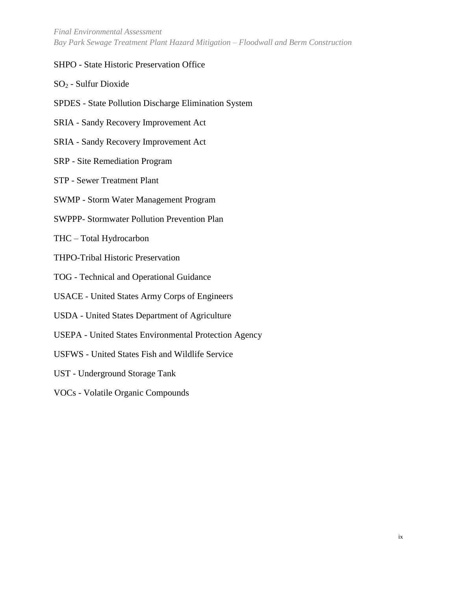*Final Environmental Assessment Bay Park Sewage Treatment Plant Hazard Mitigation – Floodwall and Berm Construction*

#### SHPO - State Historic Preservation Office

- SO<sup>2</sup> Sulfur Dioxide
- SPDES State Pollution Discharge Elimination System
- SRIA Sandy Recovery Improvement Act
- SRIA Sandy Recovery Improvement Act
- SRP Site Remediation Program
- STP Sewer Treatment Plant
- SWMP Storm Water Management Program
- SWPPP- Stormwater Pollution Prevention Plan
- THC Total Hydrocarbon
- THPO-Tribal Historic Preservation
- TOG Technical and Operational Guidance
- USACE United States Army Corps of Engineers
- USDA United States Department of Agriculture
- USEPA United States Environmental Protection Agency
- USFWS United States Fish and Wildlife Service
- UST Underground Storage Tank
- VOCs Volatile Organic Compounds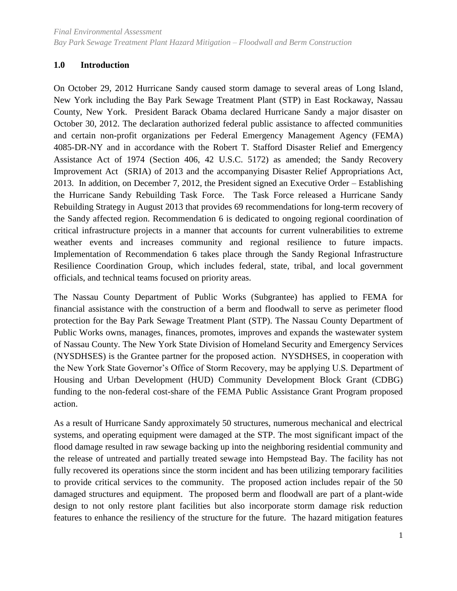## <span id="page-10-0"></span>**1.0 Introduction**

On October 29, 2012 Hurricane Sandy caused storm damage to several areas of Long Island, New York including the Bay Park Sewage Treatment Plant (STP) in East Rockaway, Nassau County, New York. President Barack Obama declared Hurricane Sandy a major disaster on October 30, 2012. The declaration authorized federal public assistance to affected communities and certain non-profit organizations per Federal Emergency Management Agency (FEMA) 4085-DR-NY and in accordance with the Robert T. Stafford Disaster Relief and Emergency Assistance Act of 1974 (Section 406, 42 U.S.C. 5172) as amended; the Sandy Recovery Improvement Act (SRIA) of 2013 and the accompanying Disaster Relief Appropriations Act, 2013. In addition, on December 7, 2012, the President signed an Executive Order – Establishing the Hurricane Sandy Rebuilding Task Force. The Task Force released a Hurricane Sandy Rebuilding Strategy in August 2013 that provides 69 recommendations for long-term recovery of the Sandy affected region. Recommendation 6 is dedicated to ongoing regional coordination of critical infrastructure projects in a manner that accounts for current vulnerabilities to extreme weather events and increases community and regional resilience to future impacts. Implementation of Recommendation 6 takes place through the Sandy Regional Infrastructure Resilience Coordination Group, which includes federal, state, tribal, and local government officials, and technical teams focused on priority areas.

The Nassau County Department of Public Works (Subgrantee) has applied to FEMA for financial assistance with the construction of a berm and floodwall to serve as perimeter flood protection for the Bay Park Sewage Treatment Plant (STP). The Nassau County Department of Public Works owns, manages, finances, promotes, improves and expands the wastewater system of Nassau County. The New York State Division of Homeland Security and Emergency Services (NYSDHSES) is the Grantee partner for the proposed action. NYSDHSES, in cooperation with the New York State Governor's Office of Storm Recovery, may be applying U.S. Department of Housing and Urban Development (HUD) Community Development Block Grant (CDBG) funding to the non-federal cost-share of the FEMA Public Assistance Grant Program proposed action.

As a result of Hurricane Sandy approximately 50 structures, numerous mechanical and electrical systems, and operating equipment were damaged at the STP. The most significant impact of the flood damage resulted in raw sewage backing up into the neighboring residential community and the release of untreated and partially treated sewage into Hempstead Bay. The facility has not fully recovered its operations since the storm incident and has been utilizing temporary facilities to provide critical services to the community. The proposed action includes repair of the 50 damaged structures and equipment. The proposed berm and floodwall are part of a plant-wide design to not only restore plant facilities but also incorporate storm damage risk reduction features to enhance the resiliency of the structure for the future. The hazard mitigation features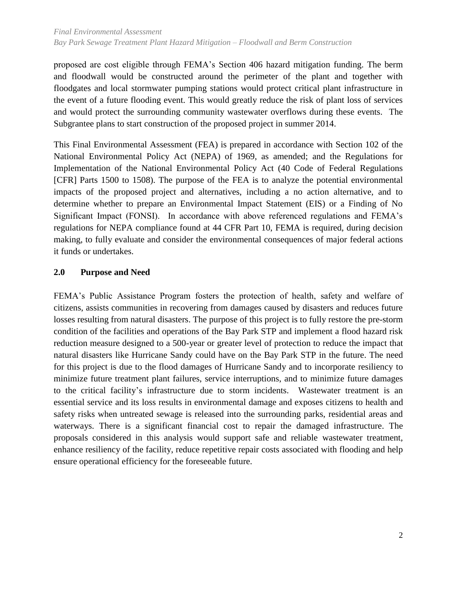proposed are cost eligible through FEMA's Section 406 hazard mitigation funding. The berm and floodwall would be constructed around the perimeter of the plant and together with floodgates and local stormwater pumping stations would protect critical plant infrastructure in the event of a future flooding event. This would greatly reduce the risk of plant loss of services and would protect the surrounding community wastewater overflows during these events. The Subgrantee plans to start construction of the proposed project in summer 2014.

This Final Environmental Assessment (FEA) is prepared in accordance with Section 102 of the National Environmental Policy Act (NEPA) of 1969, as amended; and the Regulations for Implementation of the National Environmental Policy Act (40 Code of Federal Regulations [CFR] Parts 1500 to 1508). The purpose of the FEA is to analyze the potential environmental impacts of the proposed project and alternatives, including a no action alternative, and to determine whether to prepare an Environmental Impact Statement (EIS) or a Finding of No Significant Impact (FONSI). In accordance with above referenced regulations and FEMA's regulations for NEPA compliance found at 44 CFR Part 10, FEMA is required, during decision making, to fully evaluate and consider the environmental consequences of major federal actions it funds or undertakes.

## <span id="page-11-0"></span>**2.0 Purpose and Need**

<span id="page-11-1"></span>FEMA's Public Assistance Program fosters the protection of health, safety and welfare of citizens, assists communities in recovering from damages caused by disasters and reduces future losses resulting from natural disasters. The purpose of this project is to fully restore the pre-storm condition of the facilities and operations of the Bay Park STP and implement a flood hazard risk reduction measure designed to a 500-year or greater level of protection to reduce the impact that natural disasters like Hurricane Sandy could have on the Bay Park STP in the future. The need for this project is due to the flood damages of Hurricane Sandy and to incorporate resiliency to minimize future treatment plant failures, service interruptions, and to minimize future damages to the critical facility's infrastructure due to storm incidents. Wastewater treatment is an essential service and its loss results in environmental damage and exposes citizens to health and safety risks when untreated sewage is released into the surrounding parks, residential areas and waterways. There is a significant financial cost to repair the damaged infrastructure. The proposals considered in this analysis would support safe and reliable wastewater treatment, enhance resiliency of the facility, reduce repetitive repair costs associated with flooding and help ensure operational efficiency for the foreseeable future.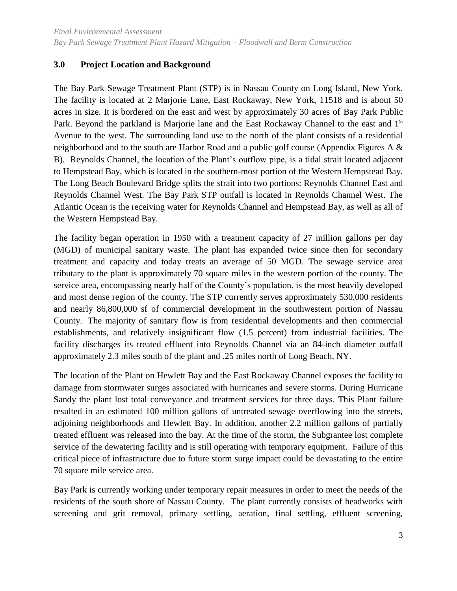#### **3.0 Project Location and Background**

The Bay Park Sewage Treatment Plant (STP) is in Nassau County on Long Island, New York. The facility is located at 2 Marjorie Lane, East Rockaway, New York, 11518 and is about 50 acres in size. It is bordered on the east and west by approximately 30 acres of Bay Park Public Park. Beyond the parkland is Marjorie lane and the East Rockaway Channel to the east and 1<sup>st</sup> Avenue to the west. The surrounding land use to the north of the plant consists of a residential neighborhood and to the south are Harbor Road and a public golf course (Appendix Figures A & B). Reynolds Channel, the location of the Plant's outflow pipe, is a tidal strait located adjacent to Hempstead Bay, which is located in the southern-most portion of the Western Hempstead Bay. The Long Beach Boulevard Bridge splits the strait into two portions: Reynolds Channel East and Reynolds Channel West. The Bay Park STP outfall is located in Reynolds Channel West. The Atlantic Ocean is the receiving water for Reynolds Channel and Hempstead Bay, as well as all of the Western Hempstead Bay.

The facility began operation in 1950 with a treatment capacity of 27 million gallons per day (MGD) of municipal sanitary waste. The plant has expanded twice since then for secondary treatment and capacity and today treats an average of 50 MGD. The sewage service area tributary to the plant is approximately 70 square miles in the western portion of the county. The service area, encompassing nearly half of the County's population, is the most heavily developed and most dense region of the county. The STP currently serves approximately 530,000 residents and nearly 86,800,000 sf of commercial development in the southwestern portion of Nassau County. The majority of sanitary flow is from residential developments and then commercial establishments, and relatively insignificant flow (1.5 percent) from industrial facilities. The facility discharges its treated effluent into Reynolds Channel via an 84-inch diameter outfall approximately 2.3 miles south of the plant and .25 miles north of Long Beach, NY.

The location of the Plant on Hewlett Bay and the East Rockaway Channel exposes the facility to damage from stormwater surges associated with hurricanes and severe storms. During Hurricane Sandy the plant lost total conveyance and treatment services for three days. This Plant failure resulted in an estimated 100 million gallons of untreated sewage overflowing into the streets, adjoining neighborhoods and Hewlett Bay. In addition, another 2.2 million gallons of partially treated effluent was released into the bay. At the time of the storm, the Subgrantee lost complete service of the dewatering facility and is still operating with temporary equipment. Failure of this critical piece of infrastructure due to future storm surge impact could be devastating to the entire 70 square mile service area.

Bay Park is currently working under temporary repair measures in order to meet the needs of the residents of the south shore of Nassau County. The plant currently consists of headworks with screening and grit removal, primary settling, aeration, final settling, effluent screening,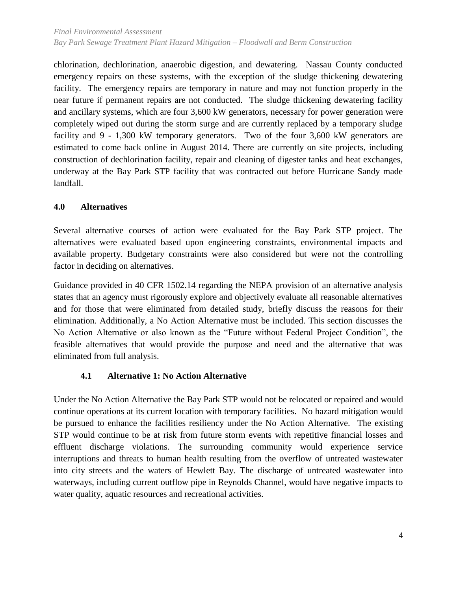chlorination, dechlorination, anaerobic digestion, and dewatering. Nassau County conducted emergency repairs on these systems, with the exception of the sludge thickening dewatering facility. The emergency repairs are temporary in nature and may not function properly in the near future if permanent repairs are not conducted. The sludge thickening dewatering facility and ancillary systems, which are four 3,600 kW generators, necessary for power generation were completely wiped out during the storm surge and are currently replaced by a temporary sludge facility and 9 - 1,300 kW temporary generators. Two of the four 3,600 kW generators are estimated to come back online in August 2014. There are currently on site projects, including construction of dechlorination facility, repair and cleaning of digester tanks and heat exchanges, underway at the Bay Park STP facility that was contracted out before Hurricane Sandy made landfall.

## <span id="page-13-0"></span>**4.0 Alternatives**

Several alternative courses of action were evaluated for the Bay Park STP project. The alternatives were evaluated based upon engineering constraints, environmental impacts and available property. Budgetary constraints were also considered but were not the controlling factor in deciding on alternatives.

Guidance provided in 40 CFR 1502.14 regarding the NEPA provision of an alternative analysis states that an agency must rigorously explore and objectively evaluate all reasonable alternatives and for those that were eliminated from detailed study, briefly discuss the reasons for their elimination. Additionally, a No Action Alternative must be included. This section discusses the No Action Alternative or also known as the "Future without Federal Project Condition", the feasible alternatives that would provide the purpose and need and the alternative that was eliminated from full analysis.

## **4.1 Alternative 1: No Action Alternative**

<span id="page-13-1"></span>Under the No Action Alternative the Bay Park STP would not be relocated or repaired and would continue operations at its current location with temporary facilities. No hazard mitigation would be pursued to enhance the facilities resiliency under the No Action Alternative. The existing STP would continue to be at risk from future storm events with repetitive financial losses and effluent discharge violations. The surrounding community would experience service interruptions and threats to human health resulting from the overflow of untreated wastewater into city streets and the waters of Hewlett Bay. The discharge of untreated wastewater into waterways, including current outflow pipe in Reynolds Channel, would have negative impacts to water quality, aquatic resources and recreational activities.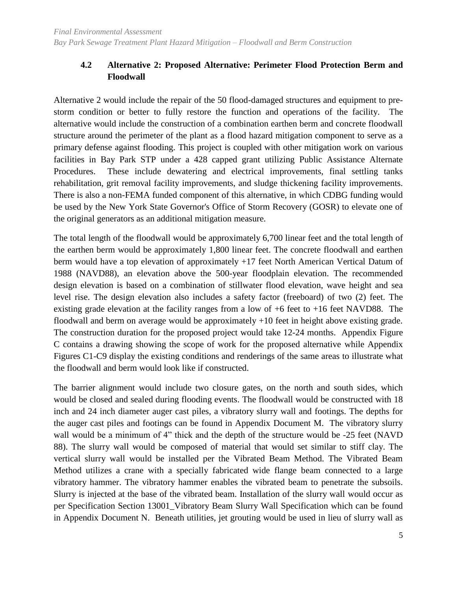## <span id="page-14-0"></span>**4.2 Alternative 2: Proposed Alternative: Perimeter Flood Protection Berm and Floodwall**

Alternative 2 would include the repair of the 50 flood-damaged structures and equipment to prestorm condition or better to fully restore the function and operations of the facility. The alternative would include the construction of a combination earthen berm and concrete floodwall structure around the perimeter of the plant as a flood hazard mitigation component to serve as a primary defense against flooding. This project is coupled with other mitigation work on various facilities in Bay Park STP under a 428 capped grant utilizing Public Assistance Alternate Procedures. These include dewatering and electrical improvements, final settling tanks rehabilitation, grit removal facility improvements, and sludge thickening facility improvements. There is also a non-FEMA funded component of this alternative, in which CDBG funding would be used by the New York State Governor's Office of Storm Recovery (GOSR) to elevate one of the original generators as an additional mitigation measure.

The total length of the floodwall would be approximately 6,700 linear feet and the total length of the earthen berm would be approximately 1,800 linear feet. The concrete floodwall and earthen berm would have a top elevation of approximately +17 feet North American Vertical Datum of 1988 (NAVD88), an elevation above the 500-year floodplain elevation. The recommended design elevation is based on a combination of stillwater flood elevation, wave height and sea level rise. The design elevation also includes a safety factor (freeboard) of two (2) feet. The existing grade elevation at the facility ranges from a low of  $+6$  feet to  $+16$  feet NAVD88. The floodwall and berm on average would be approximately  $+10$  feet in height above existing grade. The construction duration for the proposed project would take 12-24 months. Appendix Figure C contains a drawing showing the scope of work for the proposed alternative while Appendix Figures C1-C9 display the existing conditions and renderings of the same areas to illustrate what the floodwall and berm would look like if constructed.

The barrier alignment would include two closure gates, on the north and south sides, which would be closed and sealed during flooding events. The floodwall would be constructed with 18 inch and 24 inch diameter auger cast piles, a vibratory slurry wall and footings. The depths for the auger cast piles and footings can be found in Appendix Document M. The vibratory slurry wall would be a minimum of 4" thick and the depth of the structure would be -25 feet (NAVD 88). The slurry wall would be composed of material that would set similar to stiff clay. The vertical slurry wall would be installed per the Vibrated Beam Method. The Vibrated Beam Method utilizes a crane with a specially fabricated wide flange beam connected to a large vibratory hammer. The vibratory hammer enables the vibrated beam to penetrate the subsoils. Slurry is injected at the base of the vibrated beam. Installation of the slurry wall would occur as per Specification Section 13001\_Vibratory Beam Slurry Wall Specification which can be found in Appendix Document N. Beneath utilities, jet grouting would be used in lieu of slurry wall as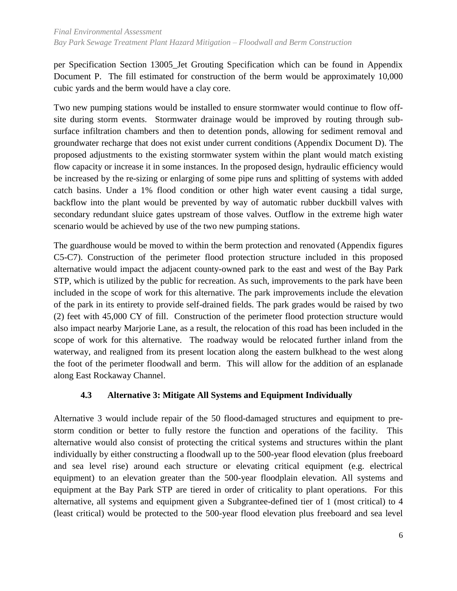per Specification Section 13005\_Jet Grouting Specification which can be found in Appendix Document P. The fill estimated for construction of the berm would be approximately 10,000 cubic yards and the berm would have a clay core.

Two new pumping stations would be installed to ensure stormwater would continue to flow offsite during storm events. Stormwater drainage would be improved by routing through subsurface infiltration chambers and then to detention ponds, allowing for sediment removal and groundwater recharge that does not exist under current conditions (Appendix Document D). The proposed adjustments to the existing stormwater system within the plant would match existing flow capacity or increase it in some instances. In the proposed design, hydraulic efficiency would be increased by the re-sizing or enlarging of some pipe runs and splitting of systems with added catch basins. Under a 1% flood condition or other high water event causing a tidal surge, backflow into the plant would be prevented by way of automatic rubber duckbill valves with secondary redundant sluice gates upstream of those valves. Outflow in the extreme high water scenario would be achieved by use of the two new pumping stations.

The guardhouse would be moved to within the berm protection and renovated (Appendix figures C5-C7). Construction of the perimeter flood protection structure included in this proposed alternative would impact the adjacent county-owned park to the east and west of the Bay Park STP, which is utilized by the public for recreation. As such, improvements to the park have been included in the scope of work for this alternative. The park improvements include the elevation of the park in its entirety to provide self-drained fields. The park grades would be raised by two (2) feet with 45,000 CY of fill. Construction of the perimeter flood protection structure would also impact nearby Marjorie Lane, as a result, the relocation of this road has been included in the scope of work for this alternative. The roadway would be relocated further inland from the waterway, and realigned from its present location along the eastern bulkhead to the west along the foot of the perimeter floodwall and berm. This will allow for the addition of an esplanade along East Rockaway Channel.

## <span id="page-15-0"></span>**4.3 Alternative 3: Mitigate All Systems and Equipment Individually**

Alternative 3 would include repair of the 50 flood-damaged structures and equipment to prestorm condition or better to fully restore the function and operations of the facility. This alternative would also consist of protecting the critical systems and structures within the plant individually by either constructing a floodwall up to the 500-year flood elevation (plus freeboard and sea level rise) around each structure or elevating critical equipment (e.g. electrical equipment) to an elevation greater than the 500-year floodplain elevation. All systems and equipment at the Bay Park STP are tiered in order of criticality to plant operations. For this alternative, all systems and equipment given a Subgrantee-defined tier of 1 (most critical) to 4 (least critical) would be protected to the 500-year flood elevation plus freeboard and sea level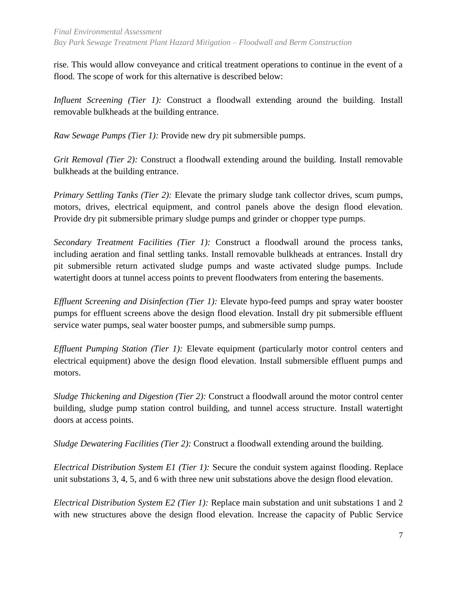rise. This would allow conveyance and critical treatment operations to continue in the event of a flood. The scope of work for this alternative is described below:

*Influent Screening (Tier 1):* Construct a floodwall extending around the building. Install removable bulkheads at the building entrance.

*Raw Sewage Pumps (Tier 1):* Provide new dry pit submersible pumps.

*Grit Removal (Tier 2):* Construct a floodwall extending around the building. Install removable bulkheads at the building entrance.

*Primary Settling Tanks (Tier 2):* Elevate the primary sludge tank collector drives, scum pumps, motors, drives, electrical equipment, and control panels above the design flood elevation. Provide dry pit submersible primary sludge pumps and grinder or chopper type pumps.

*Secondary Treatment Facilities (Tier 1):* Construct a floodwall around the process tanks, including aeration and final settling tanks. Install removable bulkheads at entrances. Install dry pit submersible return activated sludge pumps and waste activated sludge pumps. Include watertight doors at tunnel access points to prevent floodwaters from entering the basements.

*Effluent Screening and Disinfection (Tier 1):* Elevate hypo-feed pumps and spray water booster pumps for effluent screens above the design flood elevation. Install dry pit submersible effluent service water pumps, seal water booster pumps, and submersible sump pumps.

*Effluent Pumping Station (Tier 1):* Elevate equipment (particularly motor control centers and electrical equipment) above the design flood elevation. Install submersible effluent pumps and motors.

*Sludge Thickening and Digestion (Tier 2):* Construct a floodwall around the motor control center building, sludge pump station control building, and tunnel access structure. Install watertight doors at access points.

*Sludge Dewatering Facilities (Tier 2):* Construct a floodwall extending around the building.

*Electrical Distribution System E1 (Tier 1):* Secure the conduit system against flooding. Replace unit substations 3, 4, 5, and 6 with three new unit substations above the design flood elevation.

*Electrical Distribution System E2 (Tier 1):* Replace main substation and unit substations 1 and 2 with new structures above the design flood elevation. Increase the capacity of Public Service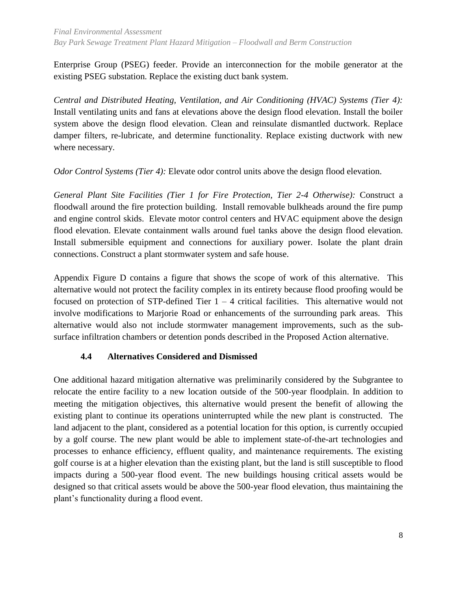Enterprise Group (PSEG) feeder. Provide an interconnection for the mobile generator at the existing PSEG substation. Replace the existing duct bank system.

*Central and Distributed Heating, Ventilation, and Air Conditioning (HVAC) Systems (Tier 4):* Install ventilating units and fans at elevations above the design flood elevation. Install the boiler system above the design flood elevation. Clean and reinsulate dismantled ductwork. Replace damper filters, re-lubricate, and determine functionality. Replace existing ductwork with new where necessary.

*Odor Control Systems (Tier 4):* Elevate odor control units above the design flood elevation.

*General Plant Site Facilities (Tier 1 for Fire Protection, Tier 2-4 Otherwise):* Construct a floodwall around the fire protection building. Install removable bulkheads around the fire pump and engine control skids. Elevate motor control centers and HVAC equipment above the design flood elevation. Elevate containment walls around fuel tanks above the design flood elevation. Install submersible equipment and connections for auxiliary power. Isolate the plant drain connections. Construct a plant stormwater system and safe house.

Appendix Figure D contains a figure that shows the scope of work of this alternative. This alternative would not protect the facility complex in its entirety because flood proofing would be focused on protection of STP-defined Tier  $1 - 4$  critical facilities. This alternative would not involve modifications to Marjorie Road or enhancements of the surrounding park areas. This alternative would also not include stormwater management improvements, such as the subsurface infiltration chambers or detention ponds described in the Proposed Action alternative.

## <span id="page-17-0"></span>**4.4 Alternatives Considered and Dismissed**

One additional hazard mitigation alternative was preliminarily considered by the Subgrantee to relocate the entire facility to a new location outside of the 500-year floodplain. In addition to meeting the mitigation objectives, this alternative would present the benefit of allowing the existing plant to continue its operations uninterrupted while the new plant is constructed. The land adjacent to the plant, considered as a potential location for this option, is currently occupied by a golf course. The new plant would be able to implement state-of-the-art technologies and processes to enhance efficiency, effluent quality, and maintenance requirements. The existing golf course is at a higher elevation than the existing plant, but the land is still susceptible to flood impacts during a 500-year flood event. The new buildings housing critical assets would be designed so that critical assets would be above the 500-year flood elevation, thus maintaining the plant's functionality during a flood event.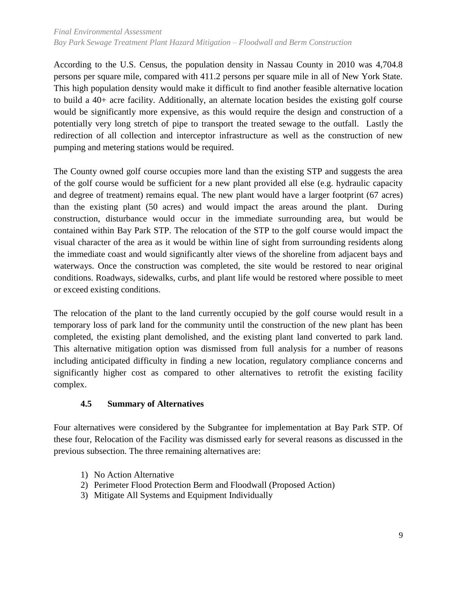According to the U.S. Census, the population density in Nassau County in 2010 was 4,704.8 persons per square mile, compared with 411.2 persons per square mile in all of New York State. This high population density would make it difficult to find another feasible alternative location to build a 40+ acre facility. Additionally, an alternate location besides the existing golf course would be significantly more expensive, as this would require the design and construction of a potentially very long stretch of pipe to transport the treated sewage to the outfall. Lastly the redirection of all collection and interceptor infrastructure as well as the construction of new pumping and metering stations would be required.

The County owned golf course occupies more land than the existing STP and suggests the area of the golf course would be sufficient for a new plant provided all else (e.g. hydraulic capacity and degree of treatment) remains equal. The new plant would have a larger footprint (67 acres) than the existing plant (50 acres) and would impact the areas around the plant. During construction, disturbance would occur in the immediate surrounding area, but would be contained within Bay Park STP. The relocation of the STP to the golf course would impact the visual character of the area as it would be within line of sight from surrounding residents along the immediate coast and would significantly alter views of the shoreline from adjacent bays and waterways. Once the construction was completed, the site would be restored to near original conditions. Roadways, sidewalks, curbs, and plant life would be restored where possible to meet or exceed existing conditions.

The relocation of the plant to the land currently occupied by the golf course would result in a temporary loss of park land for the community until the construction of the new plant has been completed, the existing plant demolished, and the existing plant land converted to park land. This alternative mitigation option was dismissed from full analysis for a number of reasons including anticipated difficulty in finding a new location, regulatory compliance concerns and significantly higher cost as compared to other alternatives to retrofit the existing facility complex.

## <span id="page-18-0"></span>**4.5 Summary of Alternatives**

Four alternatives were considered by the Subgrantee for implementation at Bay Park STP. Of these four, Relocation of the Facility was dismissed early for several reasons as discussed in the previous subsection. The three remaining alternatives are:

- 1) No Action Alternative
- 2) Perimeter Flood Protection Berm and Floodwall (Proposed Action)
- 3) Mitigate All Systems and Equipment Individually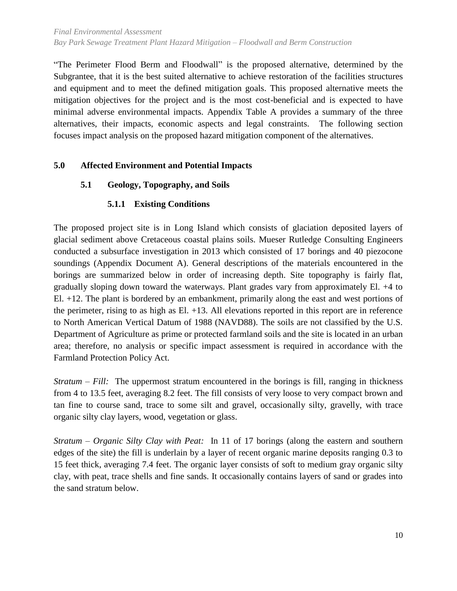"The Perimeter Flood Berm and Floodwall" is the proposed alternative, determined by the Subgrantee, that it is the best suited alternative to achieve restoration of the facilities structures and equipment and to meet the defined mitigation goals. This proposed alternative meets the mitigation objectives for the project and is the most cost-beneficial and is expected to have minimal adverse environmental impacts. Appendix Table A provides a summary of the three alternatives, their impacts, economic aspects and legal constraints. The following section focuses impact analysis on the proposed hazard mitigation component of the alternatives.

## <span id="page-19-1"></span><span id="page-19-0"></span>**5.0 Affected Environment and Potential Impacts**

## <span id="page-19-2"></span>**5.1 Geology, Topography, and Soils**

#### **5.1.1 Existing Conditions**

The proposed project site is in Long Island which consists of glaciation deposited layers of glacial sediment above Cretaceous coastal plains soils. Mueser Rutledge Consulting Engineers conducted a subsurface investigation in 2013 which consisted of 17 borings and 40 piezocone soundings (Appendix Document A). General descriptions of the materials encountered in the borings are summarized below in order of increasing depth. Site topography is fairly flat, gradually sloping down toward the waterways. Plant grades vary from approximately El. +4 to El. +12. The plant is bordered by an embankment, primarily along the east and west portions of the perimeter, rising to as high as El. +13. All elevations reported in this report are in reference to North American Vertical Datum of 1988 (NAVD88). The soils are not classified by the U.S. Department of Agriculture as prime or protected farmland soils and the site is located in an urban area; therefore, no analysis or specific impact assessment is required in accordance with the Farmland Protection Policy Act.

*Stratum – Fill:* The uppermost stratum encountered in the borings is fill, ranging in thickness from 4 to 13.5 feet, averaging 8.2 feet. The fill consists of very loose to very compact brown and tan fine to course sand, trace to some silt and gravel, occasionally silty, gravelly, with trace organic silty clay layers, wood, vegetation or glass.

*Stratum – Organic Silty Clay with Peat:* In 11 of 17 borings (along the eastern and southern edges of the site) the fill is underlain by a layer of recent organic marine deposits ranging 0.3 to 15 feet thick, averaging 7.4 feet. The organic layer consists of soft to medium gray organic silty clay, with peat, trace shells and fine sands. It occasionally contains layers of sand or grades into the sand stratum below.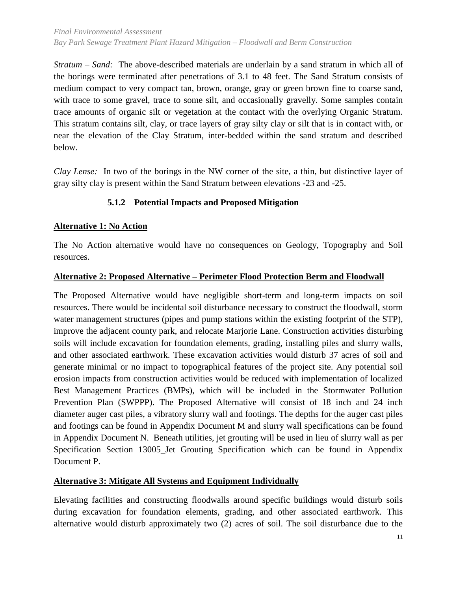*Stratum – Sand:* The above-described materials are underlain by a sand stratum in which all of the borings were terminated after penetrations of 3.1 to 48 feet. The Sand Stratum consists of medium compact to very compact tan, brown, orange, gray or green brown fine to coarse sand, with trace to some gravel, trace to some silt, and occasionally gravelly. Some samples contain trace amounts of organic silt or vegetation at the contact with the overlying Organic Stratum. This stratum contains silt, clay, or trace layers of gray silty clay or silt that is in contact with, or near the elevation of the Clay Stratum, inter-bedded within the sand stratum and described below.

<span id="page-20-0"></span>*Clay Lense:* In two of the borings in the NW corner of the site, a thin, but distinctive layer of gray silty clay is present within the Sand Stratum between elevations -23 and -25.

## **5.1.2 Potential Impacts and Proposed Mitigation**

## **Alternative 1: No Action**

The No Action alternative would have no consequences on Geology, Topography and Soil resources.

#### **Alternative 2: Proposed Alternative – Perimeter Flood Protection Berm and Floodwall**

The Proposed Alternative would have negligible short-term and long-term impacts on soil resources. There would be incidental soil disturbance necessary to construct the floodwall, storm water management structures (pipes and pump stations within the existing footprint of the STP), improve the adjacent county park, and relocate Marjorie Lane. Construction activities disturbing soils will include excavation for foundation elements, grading, installing piles and slurry walls, and other associated earthwork. These excavation activities would disturb 37 acres of soil and generate minimal or no impact to topographical features of the project site. Any potential soil erosion impacts from construction activities would be reduced with implementation of localized Best Management Practices (BMPs), which will be included in the Stormwater Pollution Prevention Plan (SWPPP). The Proposed Alternative will consist of 18 inch and 24 inch diameter auger cast piles, a vibratory slurry wall and footings. The depths for the auger cast piles and footings can be found in Appendix Document M and slurry wall specifications can be found in Appendix Document N. Beneath utilities, jet grouting will be used in lieu of slurry wall as per Specification Section 13005\_Jet Grouting Specification which can be found in Appendix Document P.

#### **Alternative 3: Mitigate All Systems and Equipment Individually**

Elevating facilities and constructing floodwalls around specific buildings would disturb soils during excavation for foundation elements, grading, and other associated earthwork. This alternative would disturb approximately two (2) acres of soil. The soil disturbance due to the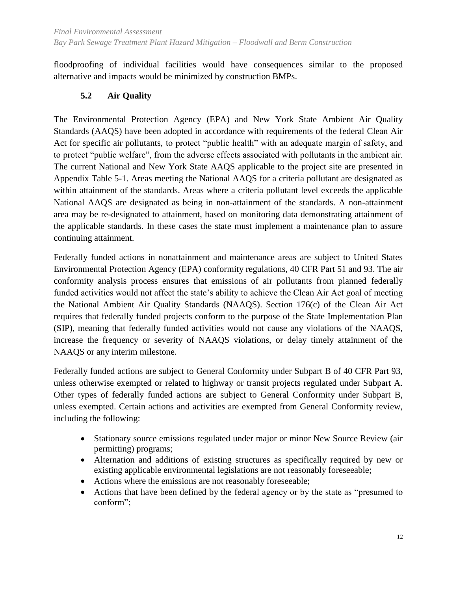floodproofing of individual facilities would have consequences similar to the proposed alternative and impacts would be minimized by construction BMPs.

## <span id="page-21-0"></span>**5.2 Air Quality**

The Environmental Protection Agency (EPA) and New York State Ambient Air Quality Standards (AAQS) have been adopted in accordance with requirements of the federal Clean Air Act for specific air pollutants, to protect "public health" with an adequate margin of safety, and to protect "public welfare", from the adverse effects associated with pollutants in the ambient air. The current National and New York State AAQS applicable to the project site are presented in Appendix Table 5-1. Areas meeting the National AAQS for a criteria pollutant are designated as within attainment of the standards. Areas where a criteria pollutant level exceeds the applicable National AAQS are designated as being in non-attainment of the standards. A non-attainment area may be re-designated to attainment, based on monitoring data demonstrating attainment of the applicable standards. In these cases the state must implement a maintenance plan to assure continuing attainment.

Federally funded actions in nonattainment and maintenance areas are subject to United States Environmental Protection Agency (EPA) conformity regulations, 40 CFR Part 51 and 93. The air conformity analysis process ensures that emissions of air pollutants from planned federally funded activities would not affect the state's ability to achieve the Clean Air Act goal of meeting the National Ambient Air Quality Standards (NAAQS). Section 176(c) of the Clean Air Act requires that federally funded projects conform to the purpose of the State Implementation Plan (SIP), meaning that federally funded activities would not cause any violations of the NAAQS, increase the frequency or severity of NAAQS violations, or delay timely attainment of the NAAQS or any interim milestone.

Federally funded actions are subject to General Conformity under Subpart B of 40 CFR Part 93, unless otherwise exempted or related to highway or transit projects regulated under Subpart A. Other types of federally funded actions are subject to General Conformity under Subpart B, unless exempted. Certain actions and activities are exempted from General Conformity review, including the following:

- Stationary source emissions regulated under major or minor New Source Review (air permitting) programs;
- Alternation and additions of existing structures as specifically required by new or existing applicable environmental legislations are not reasonably foreseeable;
- Actions where the emissions are not reasonably foreseeable;
- Actions that have been defined by the federal agency or by the state as "presumed to conform";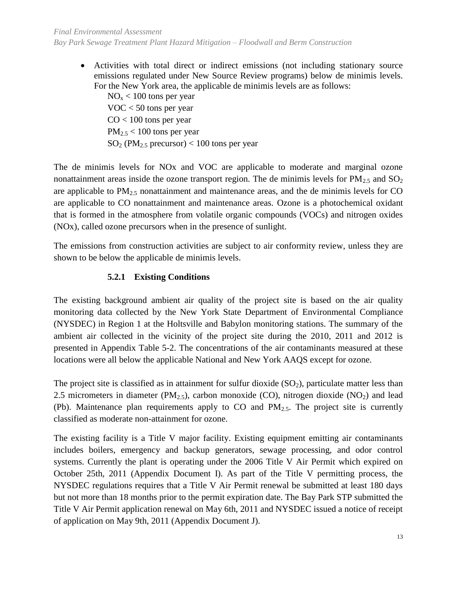Activities with total direct or indirect emissions (not including stationary source emissions regulated under New Source Review programs) below de minimis levels. For the New York area, the applicable de minimis levels are as follows:

 $NO<sub>x</sub> < 100$  tons per year VOC < 50 tons per year  $CO < 100$  tons per year  $PM_{2.5}$  < 100 tons per year  $SO<sub>2</sub>$  (PM<sub>2.5</sub> precursor) < 100 tons per year

The de minimis levels for NOx and VOC are applicable to moderate and marginal ozone nonattainment areas inside the ozone transport region. The de minimis levels for  $PM_{2.5}$  and  $SO_2$ are applicable to  $PM_{2.5}$  nonattainment and maintenance areas, and the de minimis levels for CO are applicable to CO nonattainment and maintenance areas. Ozone is a photochemical oxidant that is formed in the atmosphere from volatile organic compounds (VOCs) and nitrogen oxides (NOx), called ozone precursors when in the presence of sunlight.

The emissions from construction activities are subject to air conformity review, unless they are shown to be below the applicable de minimis levels.

## **5.2.1 Existing Conditions**

<span id="page-22-0"></span>The existing background ambient air quality of the project site is based on the air quality monitoring data collected by the New York State Department of Environmental Compliance (NYSDEC) in Region 1 at the Holtsville and Babylon monitoring stations. The summary of the ambient air collected in the vicinity of the project site during the 2010, 2011 and 2012 is presented in Appendix Table 5-2. The concentrations of the air contaminants measured at these locations were all below the applicable National and New York AAQS except for ozone.

The project site is classified as in attainment for sulfur dioxide  $(SO<sub>2</sub>)$ , particulate matter less than 2.5 micrometers in diameter (PM<sub>2.5</sub>), carbon monoxide (CO), nitrogen dioxide (NO<sub>2</sub>) and lead (Pb). Maintenance plan requirements apply to CO and  $PM_{2.5}$ . The project site is currently classified as moderate non-attainment for ozone.

The existing facility is a Title V major facility. Existing equipment emitting air contaminants includes boilers, emergency and backup generators, sewage processing, and odor control systems. Currently the plant is operating under the 2006 Title V Air Permit which expired on October 25th, 2011 (Appendix Document I). As part of the Title V permitting process, the NYSDEC regulations requires that a Title V Air Permit renewal be submitted at least 180 days but not more than 18 months prior to the permit expiration date. The Bay Park STP submitted the Title V Air Permit application renewal on May 6th, 2011 and NYSDEC issued a notice of receipt of application on May 9th, 2011 (Appendix Document J).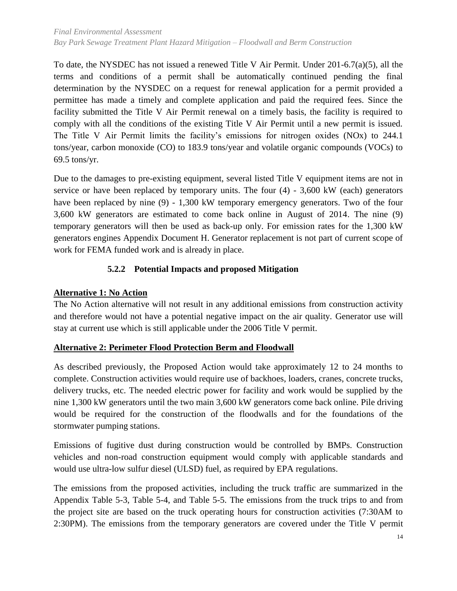To date, the NYSDEC has not issued a renewed Title V Air Permit. Under 201-6.7(a)(5), all the terms and conditions of a permit shall be automatically continued pending the final determination by the NYSDEC on a request for renewal application for a permit provided a permittee has made a timely and complete application and paid the required fees. Since the facility submitted the Title V Air Permit renewal on a timely basis, the facility is required to comply with all the conditions of the existing Title V Air Permit until a new permit is issued. The Title V Air Permit limits the facility's emissions for nitrogen oxides (NOx) to 244.1 tons/year, carbon monoxide (CO) to 183.9 tons/year and volatile organic compounds (VOCs) to 69.5 tons/yr.

Due to the damages to pre-existing equipment, several listed Title V equipment items are not in service or have been replaced by temporary units. The four (4) - 3,600 kW (each) generators have been replaced by nine (9) - 1,300 kW temporary emergency generators. Two of the four 3,600 kW generators are estimated to come back online in August of 2014. The nine (9) temporary generators will then be used as back-up only. For emission rates for the 1,300 kW generators engines Appendix Document H. Generator replacement is not part of current scope of work for FEMA funded work and is already in place.

## **5.2.2 Potential Impacts and proposed Mitigation**

## <span id="page-23-0"></span>**Alternative 1: No Action**

The No Action alternative will not result in any additional emissions from construction activity and therefore would not have a potential negative impact on the air quality. Generator use will stay at current use which is still applicable under the 2006 Title V permit.

## **Alternative 2: Perimeter Flood Protection Berm and Floodwall**

As described previously, the Proposed Action would take approximately 12 to 24 months to complete. Construction activities would require use of backhoes, loaders, cranes, concrete trucks, delivery trucks, etc. The needed electric power for facility and work would be supplied by the nine 1,300 kW generators until the two main 3,600 kW generators come back online. Pile driving would be required for the construction of the floodwalls and for the foundations of the stormwater pumping stations.

Emissions of fugitive dust during construction would be controlled by BMPs. Construction vehicles and non-road construction equipment would comply with applicable standards and would use ultra-low sulfur diesel (ULSD) fuel, as required by EPA regulations.

The emissions from the proposed activities, including the truck traffic are summarized in the Appendix Table 5-3, Table 5-4, and Table 5-5. The emissions from the truck trips to and from the project site are based on the truck operating hours for construction activities (7:30AM to 2:30PM). The emissions from the temporary generators are covered under the Title V permit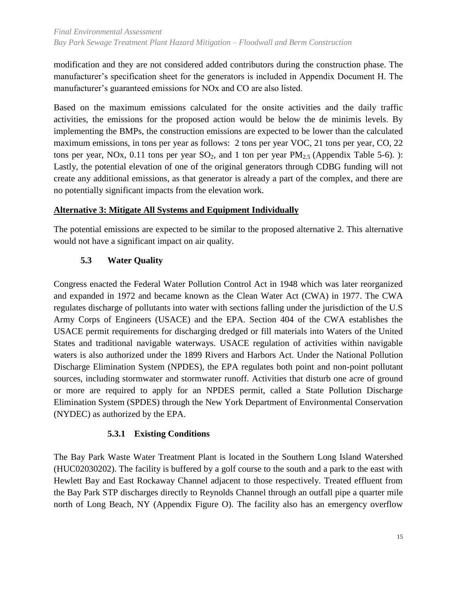modification and they are not considered added contributors during the construction phase. The manufacturer's specification sheet for the generators is included in Appendix Document H. The manufacturer's guaranteed emissions for NOx and CO are also listed.

Based on the maximum emissions calculated for the onsite activities and the daily traffic activities, the emissions for the proposed action would be below the de minimis levels. By implementing the BMPs, the construction emissions are expected to be lower than the calculated maximum emissions, in tons per year as follows: 2 tons per year VOC, 21 tons per year, CO, 22 tons per year, NOx, 0.11 tons per year  $SO_2$ , and 1 ton per year  $PM_{2.5}$  (Appendix Table 5-6). ): Lastly, the potential elevation of one of the original generators through CDBG funding will not create any additional emissions, as that generator is already a part of the complex, and there are no potentially significant impacts from the elevation work.

## **Alternative 3: Mitigate All Systems and Equipment Individually**

The potential emissions are expected to be similar to the proposed alternative 2. This alternative would not have a significant impact on air quality.

## **5.3 Water Quality**

<span id="page-24-0"></span>Congress enacted the Federal Water Pollution Control Act in 1948 which was later reorganized and expanded in 1972 and became known as the Clean Water Act (CWA) in 1977. The CWA regulates discharge of pollutants into water with sections falling under the jurisdiction of the U.S Army Corps of Engineers (USACE) and the EPA. Section 404 of the CWA establishes the USACE permit requirements for discharging dredged or fill materials into Waters of the United States and traditional navigable waterways. USACE regulation of activities within navigable waters is also authorized under the 1899 Rivers and Harbors Act. Under the National Pollution Discharge Elimination System (NPDES), the EPA regulates both point and non-point pollutant sources, including stormwater and stormwater runoff. Activities that disturb one acre of ground or more are required to apply for an NPDES permit, called a State Pollution Discharge Elimination System (SPDES) through the New York Department of Environmental Conservation (NYDEC) as authorized by the EPA.

## **5.3.1 Existing Conditions**

<span id="page-24-1"></span>The Bay Park Waste Water Treatment Plant is located in the Southern Long Island Watershed (HUC02030202). The facility is buffered by a golf course to the south and a park to the east with Hewlett Bay and East Rockaway Channel adjacent to those respectively. Treated effluent from the Bay Park STP discharges directly to Reynolds Channel through an outfall pipe a quarter mile north of Long Beach, NY (Appendix Figure O). The facility also has an emergency overflow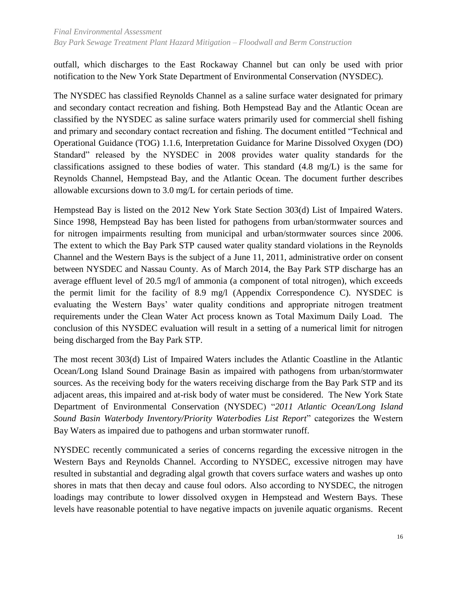outfall, which discharges to the East Rockaway Channel but can only be used with prior notification to the New York State Department of Environmental Conservation (NYSDEC).

The NYSDEC has classified Reynolds Channel as a saline surface water designated for primary and secondary contact recreation and fishing. Both Hempstead Bay and the Atlantic Ocean are classified by the NYSDEC as saline surface waters primarily used for commercial shell fishing and primary and secondary contact recreation and fishing. The document entitled "Technical and Operational Guidance (TOG) 1.1.6, Interpretation Guidance for Marine Dissolved Oxygen (DO) Standard" released by the NYSDEC in 2008 provides water quality standards for the classifications assigned to these bodies of water. This standard (4.8 mg/L) is the same for Reynolds Channel, Hempstead Bay, and the Atlantic Ocean. The document further describes allowable excursions down to 3.0 mg/L for certain periods of time.

Hempstead Bay is listed on the 2012 New York State Section 303(d) List of Impaired Waters. Since 1998, Hempstead Bay has been listed for pathogens from urban/stormwater sources and for nitrogen impairments resulting from municipal and urban/stormwater sources since 2006. The extent to which the Bay Park STP caused water quality standard violations in the Reynolds Channel and the Western Bays is the subject of a June 11, 2011, administrative order on consent between NYSDEC and Nassau County. As of March 2014, the Bay Park STP discharge has an average effluent level of 20.5 mg/l of ammonia (a component of total nitrogen), which exceeds the permit limit for the facility of 8.9 mg/l (Appendix Correspondence C). NYSDEC is evaluating the Western Bays' water quality conditions and appropriate nitrogen treatment requirements under the Clean Water Act process known as Total Maximum Daily Load. The conclusion of this NYSDEC evaluation will result in a setting of a numerical limit for nitrogen being discharged from the Bay Park STP.

The most recent 303(d) List of Impaired Waters includes the Atlantic Coastline in the Atlantic Ocean/Long Island Sound Drainage Basin as impaired with pathogens from urban/stormwater sources. As the receiving body for the waters receiving discharge from the Bay Park STP and its adjacent areas, this impaired and at-risk body of water must be considered. The New York State Department of Environmental Conservation (NYSDEC) "*2011 Atlantic Ocean/Long Island Sound Basin Waterbody Inventory/Priority Waterbodies List Report*" categorizes the Western Bay Waters as impaired due to pathogens and urban stormwater runoff.

NYSDEC recently communicated a series of concerns regarding the excessive nitrogen in the Western Bays and Reynolds Channel. According to NYSDEC, excessive nitrogen may have resulted in substantial and degrading algal growth that covers surface waters and washes up onto shores in mats that then decay and cause foul odors. Also according to NYSDEC, the nitrogen loadings may contribute to lower dissolved oxygen in Hempstead and Western Bays. These levels have reasonable potential to have negative impacts on juvenile aquatic organisms. Recent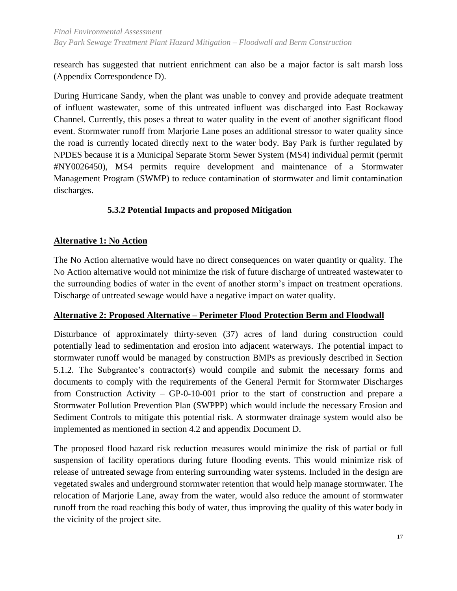research has suggested that nutrient enrichment can also be a major factor is salt marsh loss (Appendix Correspondence D).

During Hurricane Sandy, when the plant was unable to convey and provide adequate treatment of influent wastewater, some of this untreated influent was discharged into East Rockaway Channel. Currently, this poses a threat to water quality in the event of another significant flood event. Stormwater runoff from Marjorie Lane poses an additional stressor to water quality since the road is currently located directly next to the water body. Bay Park is further regulated by NPDES because it is a Municipal Separate Storm Sewer System (MS4) individual permit (permit #NY0026450), MS4 permits require development and maintenance of a Stormwater Management Program (SWMP) to reduce contamination of stormwater and limit contamination discharges.

## **5.3.2 Potential Impacts and proposed Mitigation**

## <span id="page-26-0"></span>**Alternative 1: No Action**

The No Action alternative would have no direct consequences on water quantity or quality. The No Action alternative would not minimize the risk of future discharge of untreated wastewater to the surrounding bodies of water in the event of another storm's impact on treatment operations. Discharge of untreated sewage would have a negative impact on water quality.

#### **Alternative 2: Proposed Alternative – Perimeter Flood Protection Berm and Floodwall**

Disturbance of approximately thirty-seven (37) acres of land during construction could potentially lead to sedimentation and erosion into adjacent waterways. The potential impact to stormwater runoff would be managed by construction BMPs as previously described in Section 5.1.2. The Subgrantee's contractor(s) would compile and submit the necessary forms and documents to comply with the requirements of the General Permit for Stormwater Discharges from Construction Activity – GP-0-10-001 prior to the start of construction and prepare a Stormwater Pollution Prevention Plan (SWPPP) which would include the necessary Erosion and Sediment Controls to mitigate this potential risk. A stormwater drainage system would also be implemented as mentioned in section 4.2 and appendix Document D.

The proposed flood hazard risk reduction measures would minimize the risk of partial or full suspension of facility operations during future flooding events. This would minimize risk of release of untreated sewage from entering surrounding water systems. Included in the design are vegetated swales and underground stormwater retention that would help manage stormwater. The relocation of Marjorie Lane, away from the water, would also reduce the amount of stormwater runoff from the road reaching this body of water, thus improving the quality of this water body in the vicinity of the project site.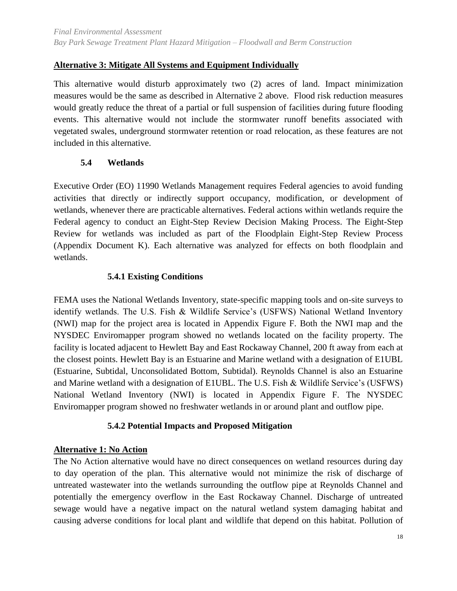## **Alternative 3: Mitigate All Systems and Equipment Individually**

This alternative would disturb approximately two (2) acres of land. Impact minimization measures would be the same as described in Alternative 2 above. Flood risk reduction measures would greatly reduce the threat of a partial or full suspension of facilities during future flooding events. This alternative would not include the stormwater runoff benefits associated with vegetated swales, underground stormwater retention or road relocation, as these features are not included in this alternative.

#### **5.4 Wetlands**

<span id="page-27-0"></span>Executive Order (EO) 11990 Wetlands Management requires Federal agencies to avoid funding activities that directly or indirectly support occupancy, modification, or development of wetlands, whenever there are practicable alternatives. Federal actions within wetlands require the Federal agency to conduct an Eight-Step Review Decision Making Process. The Eight-Step Review for wetlands was included as part of the Floodplain Eight-Step Review Process (Appendix Document K). Each alternative was analyzed for effects on both floodplain and wetlands.

#### **5.4.1 Existing Conditions**

<span id="page-27-1"></span>FEMA uses the National Wetlands Inventory, state-specific mapping tools and on-site surveys to identify wetlands. The U.S. Fish & Wildlife Service's (USFWS) National Wetland Inventory (NWI) map for the project area is located in Appendix Figure F. Both the NWI map and the NYSDEC Enviromapper program showed no wetlands located on the facility property. The facility is located adjacent to Hewlett Bay and East Rockaway Channel, 200 ft away from each at the closest points. Hewlett Bay is an Estuarine and Marine wetland with a designation of E1UBL (Estuarine, Subtidal, Unconsolidated Bottom, Subtidal). Reynolds Channel is also an Estuarine and Marine wetland with a designation of E1UBL. The U.S. Fish & Wildlife Service's (USFWS) National Wetland Inventory (NWI) is located in Appendix Figure F. The NYSDEC Enviromapper program showed no freshwater wetlands in or around plant and outflow pipe.

#### **5.4.2 Potential Impacts and Proposed Mitigation**

#### <span id="page-27-2"></span>**Alternative 1: No Action**

The No Action alternative would have no direct consequences on wetland resources during day to day operation of the plan. This alternative would not minimize the risk of discharge of untreated wastewater into the wetlands surrounding the outflow pipe at Reynolds Channel and potentially the emergency overflow in the East Rockaway Channel. Discharge of untreated sewage would have a negative impact on the natural wetland system damaging habitat and causing adverse conditions for local plant and wildlife that depend on this habitat. Pollution of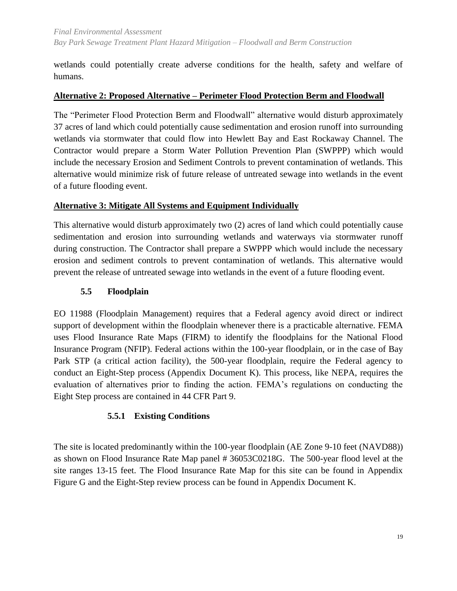wetlands could potentially create adverse conditions for the health, safety and welfare of humans.

#### **Alternative 2: Proposed Alternative – Perimeter Flood Protection Berm and Floodwall**

The "Perimeter Flood Protection Berm and Floodwall" alternative would disturb approximately 37 acres of land which could potentially cause sedimentation and erosion runoff into surrounding wetlands via stormwater that could flow into Hewlett Bay and East Rockaway Channel. The Contractor would prepare a Storm Water Pollution Prevention Plan (SWPPP) which would include the necessary Erosion and Sediment Controls to prevent contamination of wetlands. This alternative would minimize risk of future release of untreated sewage into wetlands in the event of a future flooding event.

## **Alternative 3: Mitigate All Systems and Equipment Individually**

This alternative would disturb approximately two (2) acres of land which could potentially cause sedimentation and erosion into surrounding wetlands and waterways via stormwater runoff during construction. The Contractor shall prepare a SWPPP which would include the necessary erosion and sediment controls to prevent contamination of wetlands. This alternative would prevent the release of untreated sewage into wetlands in the event of a future flooding event.

## **5.5 Floodplain**

<span id="page-28-0"></span>EO 11988 (Floodplain Management) requires that a Federal agency avoid direct or indirect support of development within the floodplain whenever there is a practicable alternative. FEMA uses Flood Insurance Rate Maps (FIRM) to identify the floodplains for the National Flood Insurance Program (NFIP). Federal actions within the 100-year floodplain, or in the case of Bay Park STP (a critical action facility), the 500-year floodplain, require the Federal agency to conduct an Eight-Step process (Appendix Document K). This process, like NEPA, requires the evaluation of alternatives prior to finding the action. FEMA's regulations on conducting the Eight Step process are contained in 44 CFR Part 9.

## **5.5.1 Existing Conditions**

<span id="page-28-1"></span>The site is located predominantly within the 100-year floodplain (AE Zone 9-10 feet (NAVD88)) as shown on Flood Insurance Rate Map panel # 36053C0218G. The 500-year flood level at the site ranges 13-15 feet. The Flood Insurance Rate Map for this site can be found in Appendix Figure G and the Eight-Step review process can be found in Appendix Document K.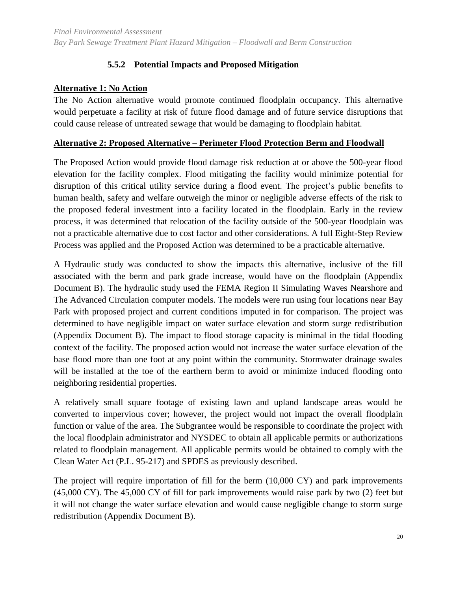## **5.5.2 Potential Impacts and Proposed Mitigation**

#### <span id="page-29-0"></span>**Alternative 1: No Action**

The No Action alternative would promote continued floodplain occupancy. This alternative would perpetuate a facility at risk of future flood damage and of future service disruptions that could cause release of untreated sewage that would be damaging to floodplain habitat.

#### **Alternative 2: Proposed Alternative – Perimeter Flood Protection Berm and Floodwall**

The Proposed Action would provide flood damage risk reduction at or above the 500-year flood elevation for the facility complex. Flood mitigating the facility would minimize potential for disruption of this critical utility service during a flood event. The project's public benefits to human health, safety and welfare outweigh the minor or negligible adverse effects of the risk to the proposed federal investment into a facility located in the floodplain. Early in the review process, it was determined that relocation of the facility outside of the 500-year floodplain was not a practicable alternative due to cost factor and other considerations. A full Eight-Step Review Process was applied and the Proposed Action was determined to be a practicable alternative.

A Hydraulic study was conducted to show the impacts this alternative, inclusive of the fill associated with the berm and park grade increase, would have on the floodplain (Appendix Document B). The hydraulic study used the FEMA Region II Simulating Waves Nearshore and The Advanced Circulation computer models. The models were run using four locations near Bay Park with proposed project and current conditions imputed in for comparison. The project was determined to have negligible impact on water surface elevation and storm surge redistribution (Appendix Document B). The impact to flood storage capacity is minimal in the tidal flooding context of the facility. The proposed action would not increase the water surface elevation of the base flood more than one foot at any point within the community. Stormwater drainage swales will be installed at the toe of the earthern berm to avoid or minimize induced flooding onto neighboring residential properties.

A relatively small square footage of existing lawn and upland landscape areas would be converted to impervious cover; however, the project would not impact the overall floodplain function or value of the area. The Subgrantee would be responsible to coordinate the project with the local floodplain administrator and NYSDEC to obtain all applicable permits or authorizations related to floodplain management. All applicable permits would be obtained to comply with the Clean Water Act (P.L. 95-217) and SPDES as previously described.

The project will require importation of fill for the berm (10,000 CY) and park improvements (45,000 CY). The 45,000 CY of fill for park improvements would raise park by two (2) feet but it will not change the water surface elevation and would cause negligible change to storm surge redistribution (Appendix Document B).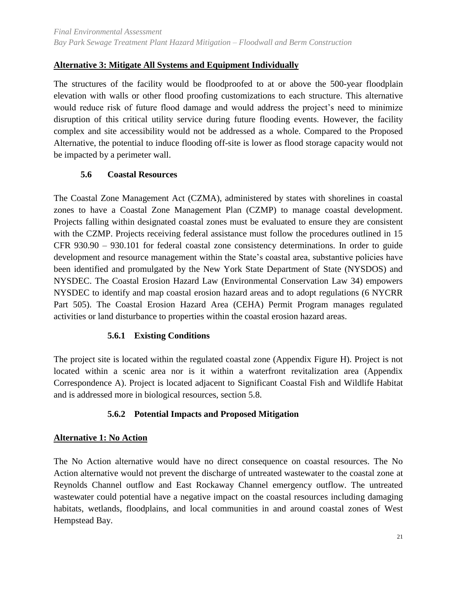## **Alternative 3: Mitigate All Systems and Equipment Individually**

The structures of the facility would be floodproofed to at or above the 500-year floodplain elevation with walls or other flood proofing customizations to each structure. This alternative would reduce risk of future flood damage and would address the project's need to minimize disruption of this critical utility service during future flooding events. However, the facility complex and site accessibility would not be addressed as a whole. Compared to the Proposed Alternative, the potential to induce flooding off-site is lower as flood storage capacity would not be impacted by a perimeter wall.

#### <span id="page-30-0"></span>**5.6 Coastal Resources**

The Coastal Zone Management Act (CZMA), administered by states with shorelines in coastal zones to have a Coastal Zone Management Plan (CZMP) to manage coastal development. Projects falling within designated coastal zones must be evaluated to ensure they are consistent with the CZMP. Projects receiving federal assistance must follow the procedures outlined in 15 CFR 930.90 – 930.101 for federal coastal zone consistency determinations. In order to guide development and resource management within the State's coastal area, substantive policies have been identified and promulgated by the New York State Department of State (NYSDOS) and NYSDEC. The Coastal Erosion Hazard Law (Environmental Conservation Law 34) empowers NYSDEC to identify and map coastal erosion hazard areas and to adopt regulations (6 NYCRR Part 505). The Coastal Erosion Hazard Area (CEHA) Permit Program manages regulated activities or land disturbance to properties within the coastal erosion hazard areas.

#### **5.6.1 Existing Conditions**

<span id="page-30-1"></span>The project site is located within the regulated coastal zone (Appendix Figure H). Project is not located within a scenic area nor is it within a waterfront revitalization area (Appendix Correspondence A). Project is located adjacent to Significant Coastal Fish and Wildlife Habitat and is addressed more in biological resources, section 5.8.

## **5.6.2 Potential Impacts and Proposed Mitigation**

## <span id="page-30-2"></span>**Alternative 1: No Action**

The No Action alternative would have no direct consequence on coastal resources. The No Action alternative would not prevent the discharge of untreated wastewater to the coastal zone at Reynolds Channel outflow and East Rockaway Channel emergency outflow. The untreated wastewater could potential have a negative impact on the coastal resources including damaging habitats, wetlands, floodplains, and local communities in and around coastal zones of West Hempstead Bay.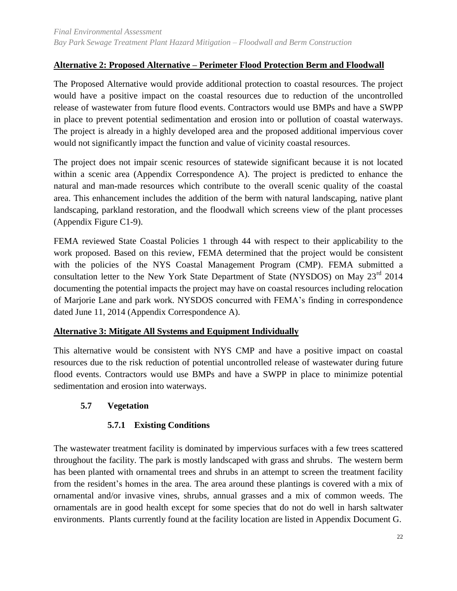## **Alternative 2: Proposed Alternative – Perimeter Flood Protection Berm and Floodwall**

The Proposed Alternative would provide additional protection to coastal resources. The project would have a positive impact on the coastal resources due to reduction of the uncontrolled release of wastewater from future flood events. Contractors would use BMPs and have a SWPP in place to prevent potential sedimentation and erosion into or pollution of coastal waterways. The project is already in a highly developed area and the proposed additional impervious cover would not significantly impact the function and value of vicinity coastal resources.

The project does not impair scenic resources of statewide significant because it is not located within a scenic area (Appendix Correspondence A). The project is predicted to enhance the natural and man-made resources which contribute to the overall scenic quality of the coastal area. This enhancement includes the addition of the berm with natural landscaping, native plant landscaping, parkland restoration, and the floodwall which screens view of the plant processes (Appendix Figure C1-9).

FEMA reviewed State Coastal Policies 1 through 44 with respect to their applicability to the work proposed. Based on this review, FEMA determined that the project would be consistent with the policies of the NYS Coastal Management Program (CMP). FEMA submitted a consultation letter to the New York State Department of State (NYSDOS) on May 23<sup>rd</sup> 2014 documenting the potential impacts the project may have on coastal resources including relocation of Marjorie Lane and park work. NYSDOS concurred with FEMA's finding in correspondence dated June 11, 2014 (Appendix Correspondence A).

#### **Alternative 3: Mitigate All Systems and Equipment Individually**

This alternative would be consistent with NYS CMP and have a positive impact on coastal resources due to the risk reduction of potential uncontrolled release of wastewater during future flood events. Contractors would use BMPs and have a SWPP in place to minimize potential sedimentation and erosion into waterways.

#### <span id="page-31-1"></span><span id="page-31-0"></span>**5.7 Vegetation**

## **5.7.1 Existing Conditions**

The wastewater treatment facility is dominated by impervious surfaces with a few trees scattered throughout the facility. The park is mostly landscaped with grass and shrubs. The western berm has been planted with ornamental trees and shrubs in an attempt to screen the treatment facility from the resident's homes in the area. The area around these plantings is covered with a mix of ornamental and/or invasive vines, shrubs, annual grasses and a mix of common weeds. The ornamentals are in good health except for some species that do not do well in harsh saltwater environments. Plants currently found at the facility location are listed in Appendix Document G.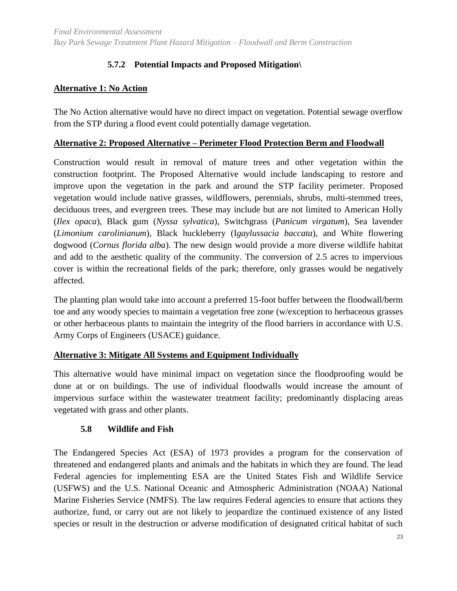## **5.7.2 Potential Impacts and Proposed Mitigation\**

## <span id="page-32-0"></span>**Alternative 1: No Action**

The No Action alternative would have no direct impact on vegetation. Potential sewage overflow from the STP during a flood event could potentially damage vegetation.

#### **Alternative 2: Proposed Alternative – Perimeter Flood Protection Berm and Floodwall**

Construction would result in removal of mature trees and other vegetation within the construction footprint. The Proposed Alternative would include landscaping to restore and improve upon the vegetation in the park and around the STP facility perimeter. Proposed vegetation would include native grasses, wildflowers, perennials, shrubs, multi-stemmed trees, deciduous trees, and evergreen trees. These may include but are not limited to American Holly (*Ilex opaca*), Black gum (*Nyssa sylvatica*), Switchgrass (*Panicum virgatum*), Sea lavender (*Limonium carolinianum*), Black huckleberry (I*gaylussacia baccata*), and White flowering dogwood (*Cornus florida alba*). The new design would provide a more diverse wildlife habitat and add to the aesthetic quality of the community. The conversion of 2.5 acres to impervious cover is within the recreational fields of the park; therefore, only grasses would be negatively affected.

The planting plan would take into account a preferred 15-foot buffer between the floodwall/berm toe and any woody species to maintain a vegetation free zone (w/exception to herbaceous grasses or other herbaceous plants to maintain the integrity of the flood barriers in accordance with U.S. Army Corps of Engineers (USACE) guidance.

## **Alternative 3: Mitigate All Systems and Equipment Individually**

This alternative would have minimal impact on vegetation since the floodproofing would be done at or on buildings. The use of individual floodwalls would increase the amount of impervious surface within the wastewater treatment facility; predominantly displacing areas vegetated with grass and other plants.

## **5.8 Wildlife and Fish**

<span id="page-32-1"></span>The Endangered Species Act (ESA) of 1973 provides a program for the conservation of threatened and endangered plants and animals and the habitats in which they are found. The lead Federal agencies for implementing ESA are the United States Fish and Wildlife Service (USFWS) and the U.S. National Oceanic and Atmospheric Administration (NOAA) National Marine Fisheries Service (NMFS). The law requires Federal agencies to ensure that actions they authorize, fund, or carry out are not likely to jeopardize the continued existence of any listed species or result in the destruction or adverse modification of designated critical habitat of such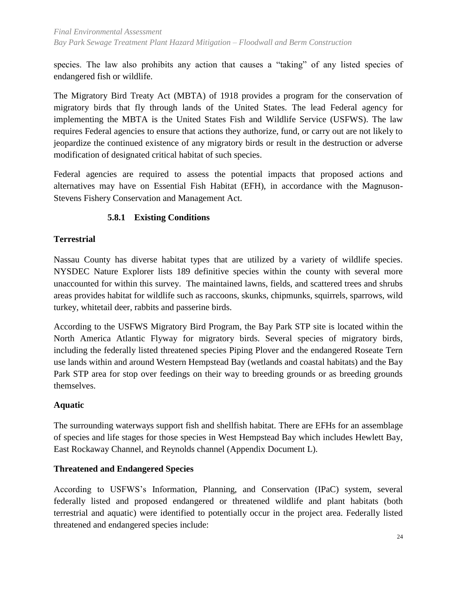species. The law also prohibits any action that causes a "taking" of any listed species of endangered fish or wildlife.

The Migratory Bird Treaty Act (MBTA) of 1918 provides a program for the conservation of migratory birds that fly through lands of the United States. The lead Federal agency for implementing the MBTA is the United States Fish and Wildlife Service (USFWS). The law requires Federal agencies to ensure that actions they authorize, fund, or carry out are not likely to jeopardize the continued existence of any migratory birds or result in the destruction or adverse modification of designated critical habitat of such species.

Federal agencies are required to assess the potential impacts that proposed actions and alternatives may have on Essential Fish Habitat (EFH), in accordance with the Magnuson-Stevens Fishery Conservation and Management Act.

## **5.8.1 Existing Conditions**

## <span id="page-33-0"></span>**Terrestrial**

Nassau County has diverse habitat types that are utilized by a variety of wildlife species. NYSDEC Nature Explorer lists 189 definitive species within the county with several more unaccounted for within this survey. The maintained lawns, fields, and scattered trees and shrubs areas provides habitat for wildlife such as raccoons, skunks, chipmunks, squirrels, sparrows, wild turkey, whitetail deer, rabbits and passerine birds.

According to the USFWS Migratory Bird Program, the Bay Park STP site is located within the North America Atlantic Flyway for migratory birds. Several species of migratory birds, including the federally listed threatened species Piping Plover and the endangered Roseate Tern use lands within and around Western Hempstead Bay (wetlands and coastal habitats) and the Bay Park STP area for stop over feedings on their way to breeding grounds or as breeding grounds themselves.

#### **Aquatic**

The surrounding waterways support fish and shellfish habitat. There are EFHs for an assemblage of species and life stages for those species in West Hempstead Bay which includes Hewlett Bay, East Rockaway Channel, and Reynolds channel (Appendix Document L).

#### **Threatened and Endangered Species**

According to USFWS's Information, Planning, and Conservation (IPaC) system, several federally listed and proposed endangered or threatened wildlife and plant habitats (both terrestrial and aquatic) were identified to potentially occur in the project area. Federally listed threatened and endangered species include: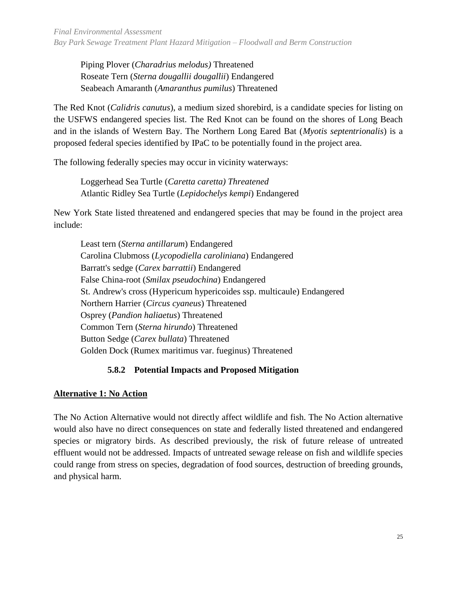Piping Plover (*Charadrius melodus)* Threatened Roseate Tern (*Sterna dougallii dougallii*) Endangered Seabeach Amaranth (*Amaranthus pumilus*) Threatened

The Red Knot (*Calidris canutus*), a medium sized shorebird, is a candidate species for listing on the USFWS endangered species list. The Red Knot can be found on the shores of Long Beach and in the islands of Western Bay. The Northern Long Eared Bat (*Myotis septentrionalis*) is a proposed federal species identified by IPaC to be potentially found in the project area.

The following federally species may occur in vicinity waterways:

Loggerhead Sea Turtle (*Caretta caretta) Threatened* Atlantic Ridley Sea Turtle (*Lepidochelys kempi*) Endangered

New York State listed threatened and endangered species that may be found in the project area include:

Least tern (*Sterna antillarum*) Endangered Carolina Clubmoss (*Lycopodiella caroliniana*) Endangered Barratt's sedge (*Carex barrattii*) Endangered False China-root (*Smilax pseudochina*) Endangered St. Andrew's cross (Hypericum hypericoides ssp. multicaule) Endangered Northern Harrier (*Circus cyaneus*) Threatened Osprey (*Pandion haliaetus*) Threatened Common Tern (*Sterna hirundo*) Threatened Button Sedge (*Carex bullata*) Threatened Golden Dock (Rumex maritimus var. fueginus) Threatened

## **5.8.2 Potential Impacts and Proposed Mitigation**

## <span id="page-34-0"></span>**Alternative 1: No Action**

The No Action Alternative would not directly affect wildlife and fish. The No Action alternative would also have no direct consequences on state and federally listed threatened and endangered species or migratory birds. As described previously, the risk of future release of untreated effluent would not be addressed. Impacts of untreated sewage release on fish and wildlife species could range from stress on species, degradation of food sources, destruction of breeding grounds, and physical harm.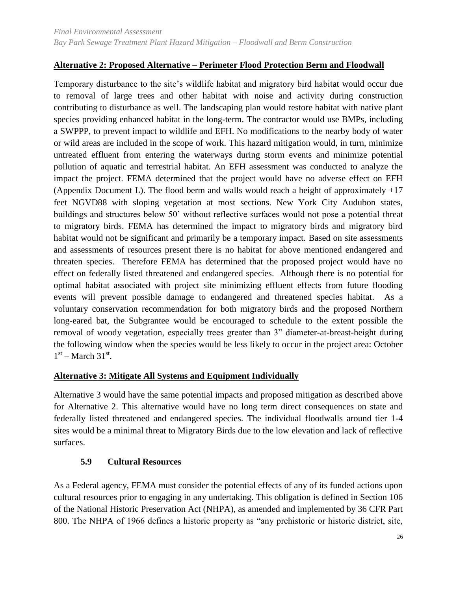## **Alternative 2: Proposed Alternative – Perimeter Flood Protection Berm and Floodwall**

Temporary disturbance to the site's wildlife habitat and migratory bird habitat would occur due to removal of large trees and other habitat with noise and activity during construction contributing to disturbance as well. The landscaping plan would restore habitat with native plant species providing enhanced habitat in the long-term. The contractor would use BMPs, including a SWPPP, to prevent impact to wildlife and EFH. No modifications to the nearby body of water or wild areas are included in the scope of work. This hazard mitigation would, in turn, minimize untreated effluent from entering the waterways during storm events and minimize potential pollution of aquatic and terrestrial habitat. An EFH assessment was conducted to analyze the impact the project. FEMA determined that the project would have no adverse effect on EFH (Appendix Document L). The flood berm and walls would reach a height of approximately +17 feet NGVD88 with sloping vegetation at most sections. New York City Audubon states, buildings and structures below 50' without reflective surfaces would not pose a potential threat to migratory birds. FEMA has determined the impact to migratory birds and migratory bird habitat would not be significant and primarily be a temporary impact. Based on site assessments and assessments of resources present there is no habitat for above mentioned endangered and threaten species. Therefore FEMA has determined that the proposed project would have no effect on federally listed threatened and endangered species. Although there is no potential for optimal habitat associated with project site minimizing effluent effects from future flooding events will prevent possible damage to endangered and threatened species habitat. As a voluntary conservation recommendation for both migratory birds and the proposed Northern long-eared bat, the Subgrantee would be encouraged to schedule to the extent possible the removal of woody vegetation, especially trees greater than 3" diameter-at-breast-height during the following window when the species would be less likely to occur in the project area: October  $1<sup>st</sup>$  – March 31<sup>st</sup>.

#### **Alternative 3: Mitigate All Systems and Equipment Individually**

Alternative 3 would have the same potential impacts and proposed mitigation as described above for Alternative 2. This alternative would have no long term direct consequences on state and federally listed threatened and endangered species. The individual floodwalls around tier 1-4 sites would be a minimal threat to Migratory Birds due to the low elevation and lack of reflective surfaces.

## **5.9 Cultural Resources**

<span id="page-35-0"></span>As a Federal agency, FEMA must consider the potential effects of any of its funded actions upon cultural resources prior to engaging in any undertaking. This obligation is defined in Section 106 of the National Historic Preservation Act (NHPA), as amended and implemented by 36 CFR Part 800. The NHPA of 1966 defines a historic property as "any prehistoric or historic district, site,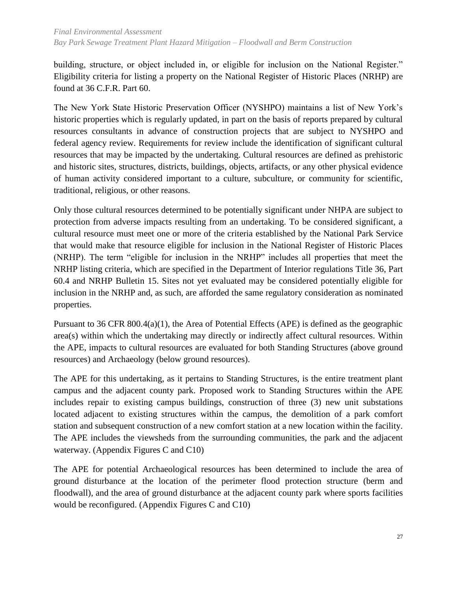building, structure, or object included in, or eligible for inclusion on the National Register." Eligibility criteria for listing a property on the National Register of Historic Places (NRHP) are found at 36 C.F.R. Part 60.

The New York State Historic Preservation Officer (NYSHPO) maintains a list of New York's historic properties which is regularly updated, in part on the basis of reports prepared by cultural resources consultants in advance of construction projects that are subject to NYSHPO and federal agency review. Requirements for review include the identification of significant cultural resources that may be impacted by the undertaking. Cultural resources are defined as prehistoric and historic sites, structures, districts, buildings, objects, artifacts, or any other physical evidence of human activity considered important to a culture, subculture, or community for scientific, traditional, religious, or other reasons.

Only those cultural resources determined to be potentially significant under NHPA are subject to protection from adverse impacts resulting from an undertaking. To be considered significant, a cultural resource must meet one or more of the criteria established by the National Park Service that would make that resource eligible for inclusion in the National Register of Historic Places (NRHP). The term "eligible for inclusion in the NRHP" includes all properties that meet the NRHP listing criteria, which are specified in the Department of Interior regulations Title 36, Part 60.4 and NRHP Bulletin 15. Sites not yet evaluated may be considered potentially eligible for inclusion in the NRHP and, as such, are afforded the same regulatory consideration as nominated properties.

Pursuant to 36 CFR 800.4(a)(1), the Area of Potential Effects (APE) is defined as the geographic area(s) within which the undertaking may directly or indirectly affect cultural resources. Within the APE, impacts to cultural resources are evaluated for both Standing Structures (above ground resources) and Archaeology (below ground resources).

The APE for this undertaking, as it pertains to Standing Structures, is the entire treatment plant campus and the adjacent county park. Proposed work to Standing Structures within the APE includes repair to existing campus buildings, construction of three (3) new unit substations located adjacent to existing structures within the campus, the demolition of a park comfort station and subsequent construction of a new comfort station at a new location within the facility. The APE includes the viewsheds from the surrounding communities, the park and the adjacent waterway. (Appendix Figures C and C10)

The APE for potential Archaeological resources has been determined to include the area of ground disturbance at the location of the perimeter flood protection structure (berm and floodwall), and the area of ground disturbance at the adjacent county park where sports facilities would be reconfigured. (Appendix Figures C and C10)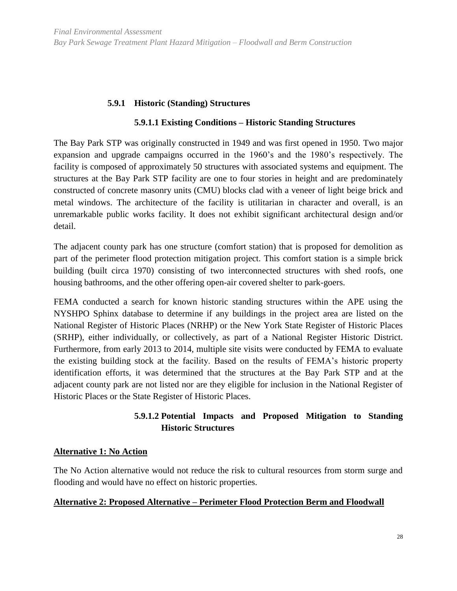## **5.9.1 Historic (Standing) Structures**

#### **5.9.1.1 Existing Conditions – Historic Standing Structures**

<span id="page-37-0"></span>The Bay Park STP was originally constructed in 1949 and was first opened in 1950. Two major expansion and upgrade campaigns occurred in the 1960's and the 1980's respectively. The facility is composed of approximately 50 structures with associated systems and equipment. The structures at the Bay Park STP facility are one to four stories in height and are predominately constructed of concrete masonry units (CMU) blocks clad with a veneer of light beige brick and metal windows. The architecture of the facility is utilitarian in character and overall, is an unremarkable public works facility. It does not exhibit significant architectural design and/or detail.

The adjacent county park has one structure (comfort station) that is proposed for demolition as part of the perimeter flood protection mitigation project. This comfort station is a simple brick building (built circa 1970) consisting of two interconnected structures with shed roofs, one housing bathrooms, and the other offering open-air covered shelter to park-goers.

FEMA conducted a search for known historic standing structures within the APE using the NYSHPO Sphinx database to determine if any buildings in the project area are listed on the National Register of Historic Places (NRHP) or the New York State Register of Historic Places (SRHP), either individually, or collectively, as part of a National Register Historic District. Furthermore, from early 2013 to 2014, multiple site visits were conducted by FEMA to evaluate the existing building stock at the facility. Based on the results of FEMA's historic property identification efforts, it was determined that the structures at the Bay Park STP and at the adjacent county park are not listed nor are they eligible for inclusion in the National Register of Historic Places or the State Register of Historic Places.

## **5.9.1.2 Potential Impacts and Proposed Mitigation to Standing Historic Structures**

#### **Alternative 1: No Action**

The No Action alternative would not reduce the risk to cultural resources from storm surge and flooding and would have no effect on historic properties.

#### **Alternative 2: Proposed Alternative – Perimeter Flood Protection Berm and Floodwall**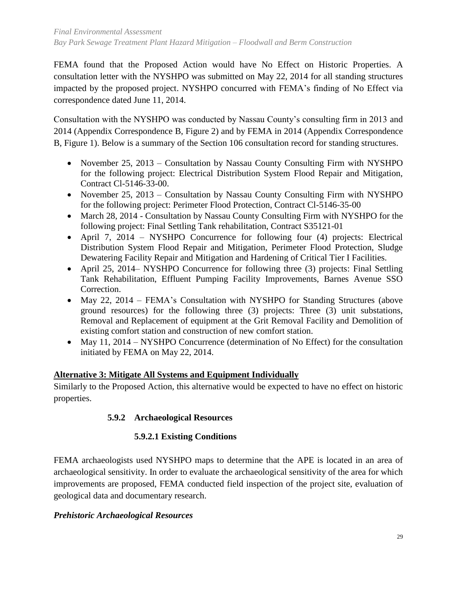FEMA found that the Proposed Action would have No Effect on Historic Properties. A consultation letter with the NYSHPO was submitted on May 22, 2014 for all standing structures impacted by the proposed project. NYSHPO concurred with FEMA's finding of No Effect via correspondence dated June 11, 2014.

Consultation with the NYSHPO was conducted by Nassau County's consulting firm in 2013 and 2014 (Appendix Correspondence B, Figure 2) and by FEMA in 2014 (Appendix Correspondence B, Figure 1). Below is a summary of the Section 106 consultation record for standing structures.

- November 25, 2013 Consultation by Nassau County Consulting Firm with NYSHPO for the following project: Electrical Distribution System Flood Repair and Mitigation, Contract Cl-5146-33-00.
- November 25, 2013 Consultation by Nassau County Consulting Firm with NYSHPO for the following project: Perimeter Flood Protection, Contract Cl-5146-35-00
- March 28, 2014 Consultation by Nassau County Consulting Firm with NYSHPO for the following project: Final Settling Tank rehabilitation, Contract S35121-01
- April 7, 2014 NYSHPO Concurrence for following four (4) projects: Electrical Distribution System Flood Repair and Mitigation, Perimeter Flood Protection, Sludge Dewatering Facility Repair and Mitigation and Hardening of Critical Tier I Facilities.
- April 25, 2014– NYSHPO Concurrence for following three (3) projects: Final Settling Tank Rehabilitation, Effluent Pumping Facility Improvements, Barnes Avenue SSO Correction.
- May 22, 2014 FEMA's Consultation with NYSHPO for Standing Structures (above ground resources) for the following three (3) projects: Three (3) unit substations, Removal and Replacement of equipment at the Grit Removal Facility and Demolition of existing comfort station and construction of new comfort station.
- May 11, 2014 NYSHPO Concurrence (determination of No Effect) for the consultation initiated by FEMA on May 22, 2014.

## **Alternative 3: Mitigate All Systems and Equipment Individually**

<span id="page-38-0"></span>Similarly to the Proposed Action, this alternative would be expected to have no effect on historic properties.

## **5.9.2 Archaeological Resources**

## **5.9.2.1 Existing Conditions**

FEMA archaeologists used NYSHPO maps to determine that the APE is located in an area of archaeological sensitivity. In order to evaluate the archaeological sensitivity of the area for which improvements are proposed, FEMA conducted field inspection of the project site, evaluation of geological data and documentary research.

## *Prehistoric Archaeological Resources*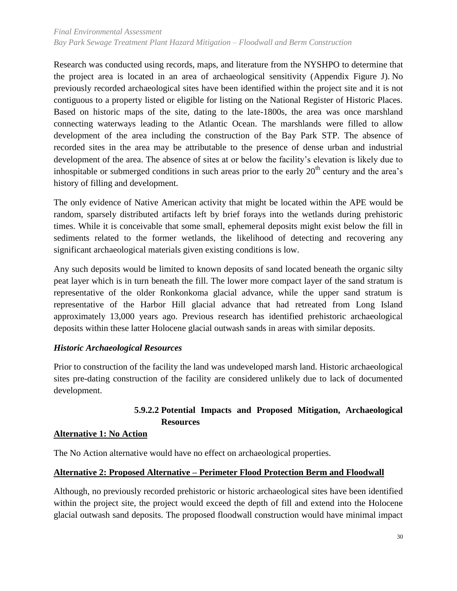Research was conducted using records, maps, and literature from the NYSHPO to determine that the project area is located in an area of archaeological sensitivity (Appendix Figure J). No previously recorded archaeological sites have been identified within the project site and it is not contiguous to a property listed or eligible for listing on the National Register of Historic Places. Based on historic maps of the site, dating to the late-1800s, the area was once marshland connecting waterways leading to the Atlantic Ocean. The marshlands were filled to allow development of the area including the construction of the Bay Park STP. The absence of recorded sites in the area may be attributable to the presence of dense urban and industrial development of the area. The absence of sites at or below the facility's elevation is likely due to inhospitable or submerged conditions in such areas prior to the early  $20<sup>th</sup>$  century and the area's history of filling and development.

The only evidence of Native American activity that might be located within the APE would be random, sparsely distributed artifacts left by brief forays into the wetlands during prehistoric times. While it is conceivable that some small, ephemeral deposits might exist below the fill in sediments related to the former wetlands, the likelihood of detecting and recovering any significant archaeological materials given existing conditions is low.

Any such deposits would be limited to known deposits of sand located beneath the organic silty peat layer which is in turn beneath the fill. The lower more compact layer of the sand stratum is representative of the older Ronkonkoma glacial advance, while the upper sand stratum is representative of the Harbor Hill glacial advance that had retreated from Long Island approximately 13,000 years ago. Previous research has identified prehistoric archaeological deposits within these latter Holocene glacial outwash sands in areas with similar deposits.

#### *Historic Archaeological Resources*

Prior to construction of the facility the land was undeveloped marsh land. Historic archaeological sites pre-dating construction of the facility are considered unlikely due to lack of documented development.

## **5.9.2.2 Potential Impacts and Proposed Mitigation, Archaeological Resources**

#### **Alternative 1: No Action**

The No Action alternative would have no effect on archaeological properties.

#### **Alternative 2: Proposed Alternative – Perimeter Flood Protection Berm and Floodwall**

Although, no previously recorded prehistoric or historic archaeological sites have been identified within the project site, the project would exceed the depth of fill and extend into the Holocene glacial outwash sand deposits. The proposed floodwall construction would have minimal impact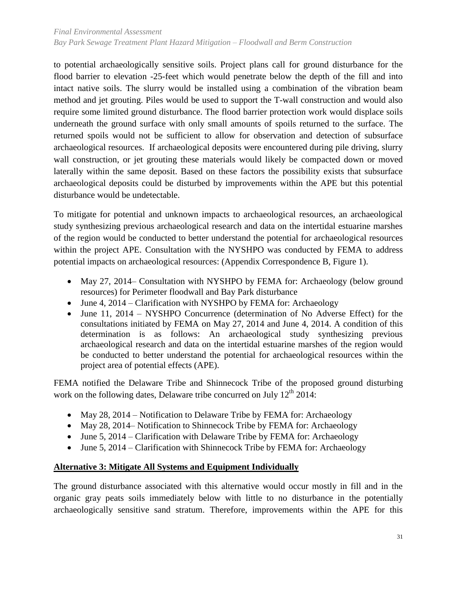to potential archaeologically sensitive soils. Project plans call for ground disturbance for the flood barrier to elevation -25-feet which would penetrate below the depth of the fill and into intact native soils. The slurry would be installed using a combination of the vibration beam method and jet grouting. Piles would be used to support the T-wall construction and would also require some limited ground disturbance. The flood barrier protection work would displace soils underneath the ground surface with only small amounts of spoils returned to the surface. The returned spoils would not be sufficient to allow for observation and detection of subsurface archaeological resources. If archaeological deposits were encountered during pile driving, slurry wall construction, or jet grouting these materials would likely be compacted down or moved laterally within the same deposit. Based on these factors the possibility exists that subsurface archaeological deposits could be disturbed by improvements within the APE but this potential disturbance would be undetectable.

To mitigate for potential and unknown impacts to archaeological resources, an archaeological study synthesizing previous archaeological research and data on the intertidal estuarine marshes of the region would be conducted to better understand the potential for archaeological resources within the project APE. Consultation with the NYSHPO was conducted by FEMA to address potential impacts on archaeological resources: (Appendix Correspondence B, Figure 1).

- May 27, 2014– Consultation with NYSHPO by FEMA for: Archaeology (below ground resources) for Perimeter floodwall and Bay Park disturbance
- June 4, 2014 Clarification with NYSHPO by FEMA for: Archaeology
- June 11, 2014 NYSHPO Concurrence (determination of No Adverse Effect) for the consultations initiated by FEMA on May 27, 2014 and June 4, 2014. A condition of this determination is as follows: An archaeological study synthesizing previous archaeological research and data on the intertidal estuarine marshes of the region would be conducted to better understand the potential for archaeological resources within the project area of potential effects (APE).

FEMA notified the Delaware Tribe and Shinnecock Tribe of the proposed ground disturbing work on the following dates, Delaware tribe concurred on July 12<sup>th</sup> 2014:

- May 28, 2014 Notification to Delaware Tribe by FEMA for: Archaeology
- May 28, 2014– Notification to Shinnecock Tribe by FEMA for: Archaeology
- $\bullet$  June 5, 2014 Clarification with Delaware Tribe by FEMA for: Archaeology
- June 5, 2014 Clarification with Shinnecock Tribe by FEMA for: Archaeology

## **Alternative 3: Mitigate All Systems and Equipment Individually**

The ground disturbance associated with this alternative would occur mostly in fill and in the organic gray peats soils immediately below with little to no disturbance in the potentially archaeologically sensitive sand stratum. Therefore, improvements within the APE for this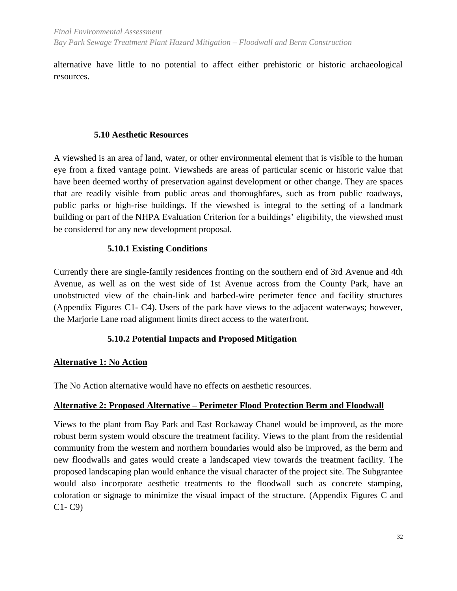alternative have little to no potential to affect either prehistoric or historic archaeological resources.

#### **5.10 Aesthetic Resources**

<span id="page-41-0"></span>A viewshed is an area of land, water, or other environmental element that is visible to the human eye from a fixed vantage point. Viewsheds are areas of particular scenic or historic value that have been deemed worthy of preservation against development or other change. They are spaces that are readily visible from public areas and thoroughfares, such as from public roadways, public parks or high-rise buildings. If the viewshed is integral to the setting of a landmark building or part of the NHPA Evaluation Criterion for a buildings' eligibility, the viewshed must be considered for any new development proposal.

#### <span id="page-41-1"></span>**5.10.1 Existing Conditions**

Currently there are single-family residences fronting on the southern end of 3rd Avenue and 4th Avenue, as well as on the west side of 1st Avenue across from the County Park, have an unobstructed view of the chain-link and barbed-wire perimeter fence and facility structures (Appendix Figures C1- C4). Users of the park have views to the adjacent waterways; however, the Marjorie Lane road alignment limits direct access to the waterfront.

## **5.10.2 Potential Impacts and Proposed Mitigation**

## <span id="page-41-2"></span>**Alternative 1: No Action**

The No Action alternative would have no effects on aesthetic resources.

## **Alternative 2: Proposed Alternative – Perimeter Flood Protection Berm and Floodwall**

Views to the plant from Bay Park and East Rockaway Chanel would be improved, as the more robust berm system would obscure the treatment facility. Views to the plant from the residential community from the western and northern boundaries would also be improved, as the berm and new floodwalls and gates would create a landscaped view towards the treatment facility. The proposed landscaping plan would enhance the visual character of the project site. The Subgrantee would also incorporate aesthetic treatments to the floodwall such as concrete stamping, coloration or signage to minimize the visual impact of the structure. (Appendix Figures C and C1- C9)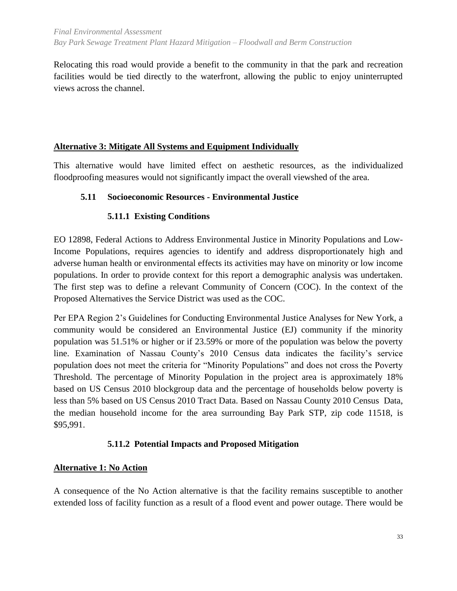Relocating this road would provide a benefit to the community in that the park and recreation facilities would be tied directly to the waterfront, allowing the public to enjoy uninterrupted views across the channel.

## **Alternative 3: Mitigate All Systems and Equipment Individually**

This alternative would have limited effect on aesthetic resources, as the individualized floodproofing measures would not significantly impact the overall viewshed of the area.

## <span id="page-42-1"></span><span id="page-42-0"></span>**5.11 Socioeconomic Resources - Environmental Justice**

## **5.11.1 Existing Conditions**

EO 12898, Federal Actions to Address Environmental Justice in Minority Populations and Low-Income Populations, requires agencies to identify and address disproportionately high and adverse human health or environmental effects its activities may have on minority or low income populations. In order to provide context for this report a demographic analysis was undertaken. The first step was to define a relevant Community of Concern (COC). In the context of the Proposed Alternatives the Service District was used as the COC.

Per EPA Region 2's Guidelines for Conducting Environmental Justice Analyses for New York, a community would be considered an Environmental Justice (EJ) community if the minority population was 51.51% or higher or if 23.59% or more of the population was below the poverty line. Examination of Nassau County's 2010 Census data indicates the facility's service population does not meet the criteria for "Minority Populations" and does not cross the Poverty Threshold. The percentage of Minority Population in the project area is approximately 18% based on US Census 2010 blockgroup data and the percentage of households below poverty is less than 5% based on US Census 2010 Tract Data. Based on Nassau County 2010 Census Data, the median household income for the area surrounding Bay Park STP, zip code 11518, is \$95,991.

## **5.11.2 Potential Impacts and Proposed Mitigation**

## <span id="page-42-2"></span>**Alternative 1: No Action**

A consequence of the No Action alternative is that the facility remains susceptible to another extended loss of facility function as a result of a flood event and power outage. There would be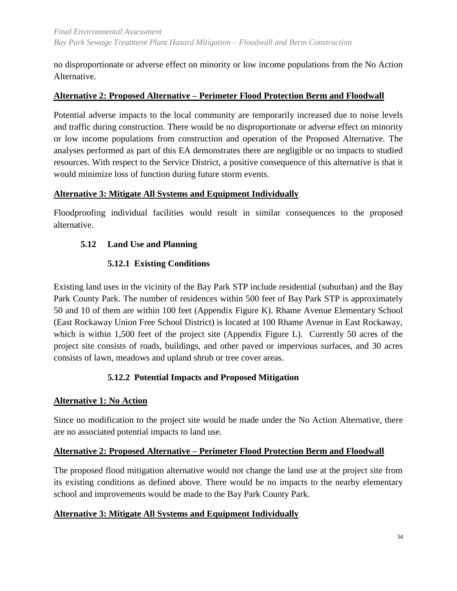no disproportionate or adverse effect on minority or low income populations from the No Action Alternative.

## **Alternative 2: Proposed Alternative – Perimeter Flood Protection Berm and Floodwall**

Potential adverse impacts to the local community are temporarily increased due to noise levels and traffic during construction. There would be no disproportionate or adverse effect on minority or low income populations from construction and operation of the Proposed Alternative. The analyses performed as part of this EA demonstrates there are negligible or no impacts to studied resources. With respect to the Service District, a positive consequence of this alternative is that it would minimize loss of function during future storm events.

## **Alternative 3: Mitigate All Systems and Equipment Individually**

Floodproofing individual facilities would result in similar consequences to the proposed alternative.

## <span id="page-43-1"></span><span id="page-43-0"></span>**5.12 Land Use and Planning**

## **5.12.1 Existing Conditions**

Existing land uses in the vicinity of the Bay Park STP include residential (suburban) and the Bay Park County Park. The number of residences within 500 feet of Bay Park STP is approximately 50 and 10 of them are within 100 feet (Appendix Figure K). Rhame Avenue Elementary School (East Rockaway Union Free School District) is located at 100 Rhame Avenue in East Rockaway, which is within 1,500 feet of the project site (Appendix Figure L). Currently 50 acres of the project site consists of roads, buildings, and other paved or impervious surfaces, and 30 acres consists of lawn, meadows and upland shrub or tree cover areas.

## **5.12.2 Potential Impacts and Proposed Mitigation**

#### <span id="page-43-2"></span>**Alternative 1: No Action**

Since no modification to the project site would be made under the No Action Alternative, there are no associated potential impacts to land use.

#### **Alternative 2: Proposed Alternative – Perimeter Flood Protection Berm and Floodwall**

The proposed flood mitigation alternative would not change the land use at the project site from its existing conditions as defined above. There would be no impacts to the nearby elementary school and improvements would be made to the Bay Park County Park.

## **Alternative 3: Mitigate All Systems and Equipment Individually**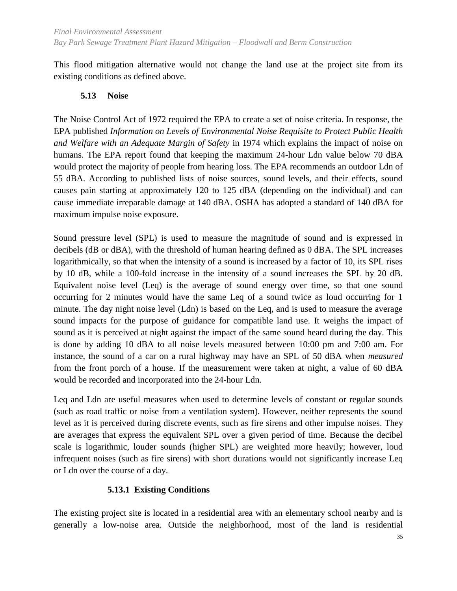This flood mitigation alternative would not change the land use at the project site from its existing conditions as defined above.

#### **5.13 Noise**

<span id="page-44-0"></span>The Noise Control Act of 1972 required the EPA to create a set of noise criteria. In response, the EPA published *Information on Levels of Environmental Noise Requisite to Protect Public Health and Welfare with an Adequate Margin of Safety* in 1974 which explains the impact of noise on humans. The EPA report found that keeping the maximum 24-hour Ldn value below 70 dBA would protect the majority of people from hearing loss. The EPA recommends an outdoor Ldn of 55 dBA. According to published lists of noise sources, sound levels, and their effects, sound causes pain starting at approximately 120 to 125 dBA (depending on the individual) and can cause immediate irreparable damage at 140 dBA. OSHA has adopted a standard of 140 dBA for maximum impulse noise exposure.

Sound pressure level (SPL) is used to measure the magnitude of sound and is expressed in decibels (dB or dBA), with the threshold of human hearing defined as 0 dBA. The SPL increases logarithmically, so that when the intensity of a sound is increased by a factor of 10, its SPL rises by 10 dB, while a 100-fold increase in the intensity of a sound increases the SPL by 20 dB. Equivalent noise level (Leq) is the average of sound energy over time, so that one sound occurring for 2 minutes would have the same Leq of a sound twice as loud occurring for 1 minute. The day night noise level (Ldn) is based on the Leq, and is used to measure the average sound impacts for the purpose of guidance for compatible land use. It weighs the impact of sound as it is perceived at night against the impact of the same sound heard during the day. This is done by adding 10 dBA to all noise levels measured between 10:00 pm and 7:00 am. For instance, the sound of a car on a rural highway may have an SPL of 50 dBA when *measured* from the front porch of a house. If the measurement were taken at night, a value of 60 dBA would be recorded and incorporated into the 24-hour Ldn.

Leq and Ldn are useful measures when used to determine levels of constant or regular sounds (such as road traffic or noise from a ventilation system). However, neither represents the sound level as it is perceived during discrete events, such as fire sirens and other impulse noises. They are averages that express the equivalent SPL over a given period of time. Because the decibel scale is logarithmic, louder sounds (higher SPL) are weighted more heavily; however, loud infrequent noises (such as fire sirens) with short durations would not significantly increase Leq or Ldn over the course of a day.

## **5.13.1 Existing Conditions**

<span id="page-44-1"></span>The existing project site is located in a residential area with an elementary school nearby and is generally a low-noise area. Outside the neighborhood, most of the land is residential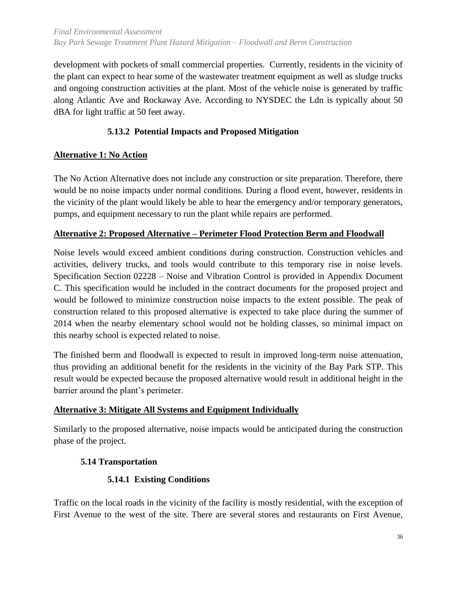development with pockets of small commercial properties. Currently, residents in the vicinity of the plant can expect to hear some of the wastewater treatment equipment as well as sludge trucks and ongoing construction activities at the plant. Most of the vehicle noise is generated by traffic along Atlantic Ave and Rockaway Ave. According to NYSDEC the Ldn is typically about 50 dBA for light traffic at 50 feet away.

## **5.13.2 Potential Impacts and Proposed Mitigation**

## <span id="page-45-0"></span>**Alternative 1: No Action**

The No Action Alternative does not include any construction or site preparation. Therefore, there would be no noise impacts under normal conditions. During a flood event, however, residents in the vicinity of the plant would likely be able to hear the emergency and/or temporary generators, pumps, and equipment necessary to run the plant while repairs are performed.

## **Alternative 2: Proposed Alternative – Perimeter Flood Protection Berm and Floodwall**

Noise levels would exceed ambient conditions during construction. Construction vehicles and activities, delivery trucks, and tools would contribute to this temporary rise in noise levels. Specification Section 02228 – Noise and Vibration Control is provided in Appendix Document C. This specification would be included in the contract documents for the proposed project and would be followed to minimize construction noise impacts to the extent possible. The peak of construction related to this proposed alternative is expected to take place during the summer of 2014 when the nearby elementary school would not be holding classes, so minimal impact on this nearby school is expected related to noise.

The finished berm and floodwall is expected to result in improved long-term noise attenuation, thus providing an additional benefit for the residents in the vicinity of the Bay Park STP. This result would be expected because the proposed alternative would result in additional height in the barrier around the plant's perimeter.

## **Alternative 3: Mitigate All Systems and Equipment Individually**

Similarly to the proposed alternative, noise impacts would be anticipated during the construction phase of the project.

## <span id="page-45-1"></span>**5.14 Transportation**

## **5.14.1 Existing Conditions**

<span id="page-45-2"></span>Traffic on the local roads in the vicinity of the facility is mostly residential, with the exception of First Avenue to the west of the site. There are several stores and restaurants on First Avenue,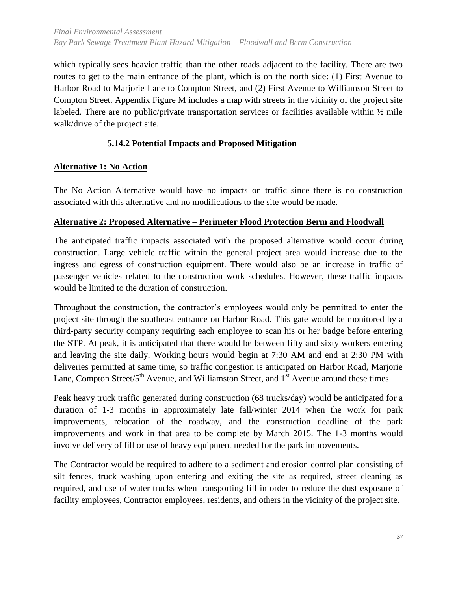which typically sees heavier traffic than the other roads adjacent to the facility. There are two routes to get to the main entrance of the plant, which is on the north side: (1) First Avenue to Harbor Road to Marjorie Lane to Compton Street, and (2) First Avenue to Williamson Street to Compton Street. Appendix Figure M includes a map with streets in the vicinity of the project site labeled. There are no public/private transportation services or facilities available within  $\frac{1}{2}$  mile walk/drive of the project site.

## **5.14.2 Potential Impacts and Proposed Mitigation**

## <span id="page-46-0"></span>**Alternative 1: No Action**

The No Action Alternative would have no impacts on traffic since there is no construction associated with this alternative and no modifications to the site would be made.

#### **Alternative 2: Proposed Alternative – Perimeter Flood Protection Berm and Floodwall**

The anticipated traffic impacts associated with the proposed alternative would occur during construction. Large vehicle traffic within the general project area would increase due to the ingress and egress of construction equipment. There would also be an increase in traffic of passenger vehicles related to the construction work schedules. However, these traffic impacts would be limited to the duration of construction.

Throughout the construction, the contractor's employees would only be permitted to enter the project site through the southeast entrance on Harbor Road. This gate would be monitored by a third-party security company requiring each employee to scan his or her badge before entering the STP. At peak, it is anticipated that there would be between fifty and sixty workers entering and leaving the site daily. Working hours would begin at 7:30 AM and end at 2:30 PM with deliveries permitted at same time, so traffic congestion is anticipated on Harbor Road, Marjorie Lane, Compton Street/ $5<sup>th</sup>$  Avenue, and Williamston Street, and  $1<sup>st</sup>$  Avenue around these times.

Peak heavy truck traffic generated during construction (68 trucks/day) would be anticipated for a duration of 1-3 months in approximately late fall/winter 2014 when the work for park improvements, relocation of the roadway, and the construction deadline of the park improvements and work in that area to be complete by March 2015. The 1-3 months would involve delivery of fill or use of heavy equipment needed for the park improvements.

The Contractor would be required to adhere to a sediment and erosion control plan consisting of silt fences, truck washing upon entering and exiting the site as required, street cleaning as required, and use of water trucks when transporting fill in order to reduce the dust exposure of facility employees, Contractor employees, residents, and others in the vicinity of the project site.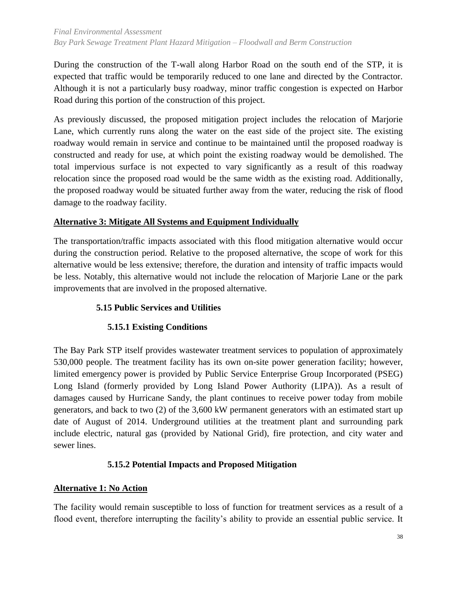#### *Final Environmental Assessment Bay Park Sewage Treatment Plant Hazard Mitigation – Floodwall and Berm Construction*

During the construction of the T-wall along Harbor Road on the south end of the STP, it is expected that traffic would be temporarily reduced to one lane and directed by the Contractor. Although it is not a particularly busy roadway, minor traffic congestion is expected on Harbor Road during this portion of the construction of this project.

As previously discussed, the proposed mitigation project includes the relocation of Marjorie Lane, which currently runs along the water on the east side of the project site. The existing roadway would remain in service and continue to be maintained until the proposed roadway is constructed and ready for use, at which point the existing roadway would be demolished. The total impervious surface is not expected to vary significantly as a result of this roadway relocation since the proposed road would be the same width as the existing road. Additionally, the proposed roadway would be situated further away from the water, reducing the risk of flood damage to the roadway facility.

## **Alternative 3: Mitigate All Systems and Equipment Individually**

The transportation/traffic impacts associated with this flood mitigation alternative would occur during the construction period. Relative to the proposed alternative, the scope of work for this alternative would be less extensive; therefore, the duration and intensity of traffic impacts would be less. Notably, this alternative would not include the relocation of Marjorie Lane or the park improvements that are involved in the proposed alternative.

## **5.15 Public Services and Utilities**

## **5.15.1 Existing Conditions**

<span id="page-47-1"></span><span id="page-47-0"></span>The Bay Park STP itself provides wastewater treatment services to population of approximately 530,000 people. The treatment facility has its own on-site power generation facility; however, limited emergency power is provided by Public Service Enterprise Group Incorporated (PSEG) Long Island (formerly provided by Long Island Power Authority (LIPA)). As a result of damages caused by Hurricane Sandy, the plant continues to receive power today from mobile generators, and back to two (2) of the 3,600 kW permanent generators with an estimated start up date of August of 2014. Underground utilities at the treatment plant and surrounding park include electric, natural gas (provided by National Grid), fire protection, and city water and sewer lines.

## **5.15.2 Potential Impacts and Proposed Mitigation**

## <span id="page-47-2"></span>**Alternative 1: No Action**

The facility would remain susceptible to loss of function for treatment services as a result of a flood event, therefore interrupting the facility's ability to provide an essential public service. It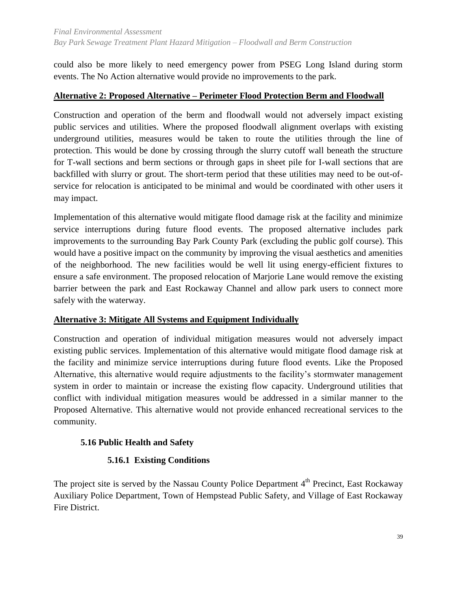could also be more likely to need emergency power from PSEG Long Island during storm events. The No Action alternative would provide no improvements to the park.

## **Alternative 2: Proposed Alternative – Perimeter Flood Protection Berm and Floodwall**

Construction and operation of the berm and floodwall would not adversely impact existing public services and utilities. Where the proposed floodwall alignment overlaps with existing underground utilities, measures would be taken to route the utilities through the line of protection. This would be done by crossing through the slurry cutoff wall beneath the structure for T-wall sections and berm sections or through gaps in sheet pile for I-wall sections that are backfilled with slurry or grout. The short-term period that these utilities may need to be out-ofservice for relocation is anticipated to be minimal and would be coordinated with other users it may impact.

Implementation of this alternative would mitigate flood damage risk at the facility and minimize service interruptions during future flood events. The proposed alternative includes park improvements to the surrounding Bay Park County Park (excluding the public golf course). This would have a positive impact on the community by improving the visual aesthetics and amenities of the neighborhood. The new facilities would be well lit using energy-efficient fixtures to ensure a safe environment. The proposed relocation of Marjorie Lane would remove the existing barrier between the park and East Rockaway Channel and allow park users to connect more safely with the waterway.

#### **Alternative 3: Mitigate All Systems and Equipment Individually**

Construction and operation of individual mitigation measures would not adversely impact existing public services. Implementation of this alternative would mitigate flood damage risk at the facility and minimize service interruptions during future flood events. Like the Proposed Alternative, this alternative would require adjustments to the facility's stormwater management system in order to maintain or increase the existing flow capacity. Underground utilities that conflict with individual mitigation measures would be addressed in a similar manner to the Proposed Alternative. This alternative would not provide enhanced recreational services to the community.

## <span id="page-48-0"></span>**5.16 Public Health and Safety**

## **5.16.1 Existing Conditions**

<span id="page-48-1"></span>The project site is served by the Nassau County Police Department 4<sup>th</sup> Precinct, East Rockaway Auxiliary Police Department, Town of Hempstead Public Safety, and Village of East Rockaway Fire District.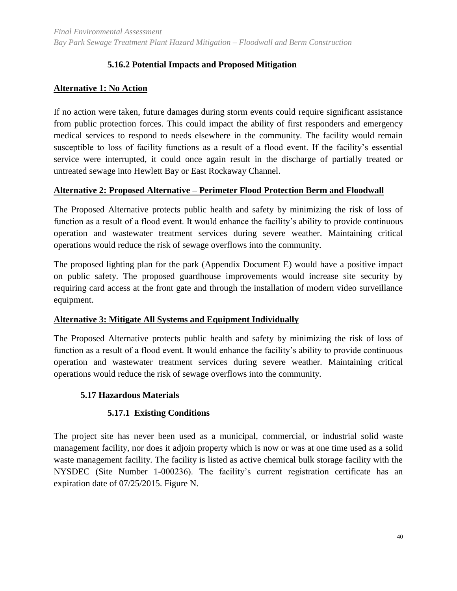## **5.16.2 Potential Impacts and Proposed Mitigation**

## <span id="page-49-0"></span>**Alternative 1: No Action**

If no action were taken, future damages during storm events could require significant assistance from public protection forces. This could impact the ability of first responders and emergency medical services to respond to needs elsewhere in the community. The facility would remain susceptible to loss of facility functions as a result of a flood event. If the facility's essential service were interrupted, it could once again result in the discharge of partially treated or untreated sewage into Hewlett Bay or East Rockaway Channel.

#### **Alternative 2: Proposed Alternative – Perimeter Flood Protection Berm and Floodwall**

The Proposed Alternative protects public health and safety by minimizing the risk of loss of function as a result of a flood event. It would enhance the facility's ability to provide continuous operation and wastewater treatment services during severe weather. Maintaining critical operations would reduce the risk of sewage overflows into the community.

The proposed lighting plan for the park (Appendix Document E) would have a positive impact on public safety. The proposed guardhouse improvements would increase site security by requiring card access at the front gate and through the installation of modern video surveillance equipment.

#### **Alternative 3: Mitigate All Systems and Equipment Individually**

The Proposed Alternative protects public health and safety by minimizing the risk of loss of function as a result of a flood event. It would enhance the facility's ability to provide continuous operation and wastewater treatment services during severe weather. Maintaining critical operations would reduce the risk of sewage overflows into the community.

#### <span id="page-49-1"></span>**5.17 Hazardous Materials**

#### **5.17.1 Existing Conditions**

<span id="page-49-3"></span><span id="page-49-2"></span>The project site has never been used as a municipal, commercial, or industrial solid waste management facility, nor does it adjoin property which is now or was at one time used as a solid waste management facility. The facility is listed as active chemical bulk storage facility with the NYSDEC (Site Number 1-000236). The facility's current registration certificate has an expiration date of 07/25/2015. Figure N.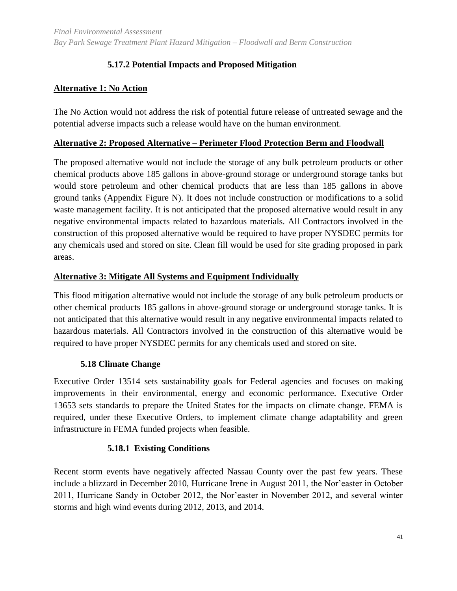## **5.17.2 Potential Impacts and Proposed Mitigation**

## **Alternative 1: No Action**

The No Action would not address the risk of potential future release of untreated sewage and the potential adverse impacts such a release would have on the human environment.

#### **Alternative 2: Proposed Alternative – Perimeter Flood Protection Berm and Floodwall**

The proposed alternative would not include the storage of any bulk petroleum products or other chemical products above 185 gallons in above-ground storage or underground storage tanks but would store petroleum and other chemical products that are less than 185 gallons in above ground tanks (Appendix Figure N). It does not include construction or modifications to a solid waste management facility. It is not anticipated that the proposed alternative would result in any negative environmental impacts related to hazardous materials. All Contractors involved in the construction of this proposed alternative would be required to have proper NYSDEC permits for any chemicals used and stored on site. Clean fill would be used for site grading proposed in park areas.

#### **Alternative 3: Mitigate All Systems and Equipment Individually**

This flood mitigation alternative would not include the storage of any bulk petroleum products or other chemical products 185 gallons in above-ground storage or underground storage tanks. It is not anticipated that this alternative would result in any negative environmental impacts related to hazardous materials. All Contractors involved in the construction of this alternative would be required to have proper NYSDEC permits for any chemicals used and stored on site.

#### <span id="page-50-0"></span>**5.18 Climate Change**

Executive Order 13514 sets sustainability goals for Federal agencies and focuses on making improvements in their environmental, energy and economic performance. Executive Order 13653 sets standards to prepare the United States for the impacts on climate change. FEMA is required, under these Executive Orders, to implement climate change adaptability and green infrastructure in FEMA funded projects when feasible.

#### **5.18.1 Existing Conditions**

<span id="page-50-1"></span>Recent storm events have negatively affected Nassau County over the past few years. These include a blizzard in December 2010, Hurricane Irene in August 2011, the Nor'easter in October 2011, Hurricane Sandy in October 2012, the Nor'easter in November 2012, and several winter storms and high wind events during 2012, 2013, and 2014.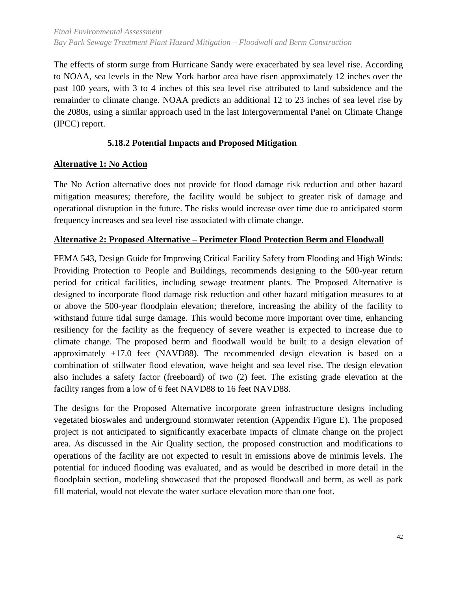The effects of storm surge from Hurricane Sandy were exacerbated by sea level rise. According to NOAA, sea levels in the New York harbor area have risen approximately 12 inches over the past 100 years, with 3 to 4 inches of this sea level rise attributed to land subsidence and the remainder to climate change. NOAA predicts an additional 12 to 23 inches of sea level rise by the 2080s, using a similar approach used in the last Intergovernmental Panel on Climate Change (IPCC) report.

## <span id="page-51-0"></span>**5.18.2 Potential Impacts and Proposed Mitigation**

## **Alternative 1: No Action**

The No Action alternative does not provide for flood damage risk reduction and other hazard mitigation measures; therefore, the facility would be subject to greater risk of damage and operational disruption in the future. The risks would increase over time due to anticipated storm frequency increases and sea level rise associated with climate change.

#### **Alternative 2: Proposed Alternative – Perimeter Flood Protection Berm and Floodwall**

FEMA 543, Design Guide for Improving Critical Facility Safety from Flooding and High Winds: Providing Protection to People and Buildings, recommends designing to the 500-year return period for critical facilities, including sewage treatment plants. The Proposed Alternative is designed to incorporate flood damage risk reduction and other hazard mitigation measures to at or above the 500-year floodplain elevation; therefore, increasing the ability of the facility to withstand future tidal surge damage. This would become more important over time, enhancing resiliency for the facility as the frequency of severe weather is expected to increase due to climate change. The proposed berm and floodwall would be built to a design elevation of approximately +17.0 feet (NAVD88). The recommended design elevation is based on a combination of stillwater flood elevation, wave height and sea level rise. The design elevation also includes a safety factor (freeboard) of two (2) feet. The existing grade elevation at the facility ranges from a low of 6 feet NAVD88 to 16 feet NAVD88.

The designs for the Proposed Alternative incorporate green infrastructure designs including vegetated bioswales and underground stormwater retention (Appendix Figure E). The proposed project is not anticipated to significantly exacerbate impacts of climate change on the project area. As discussed in the Air Quality section, the proposed construction and modifications to operations of the facility are not expected to result in emissions above de minimis levels. The potential for induced flooding was evaluated, and as would be described in more detail in the floodplain section, modeling showcased that the proposed floodwall and berm, as well as park fill material, would not elevate the water surface elevation more than one foot.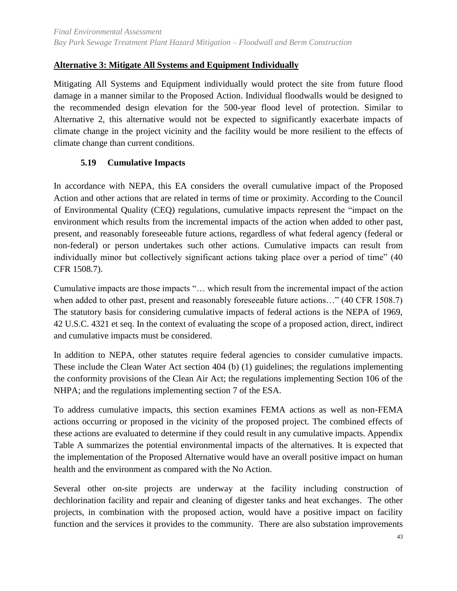## **Alternative 3: Mitigate All Systems and Equipment Individually**

Mitigating All Systems and Equipment individually would protect the site from future flood damage in a manner similar to the Proposed Action. Individual floodwalls would be designed to the recommended design elevation for the 500-year flood level of protection. Similar to Alternative 2, this alternative would not be expected to significantly exacerbate impacts of climate change in the project vicinity and the facility would be more resilient to the effects of climate change than current conditions.

#### **5.19 Cumulative Impacts**

<span id="page-52-0"></span>In accordance with NEPA, this EA considers the overall cumulative impact of the Proposed Action and other actions that are related in terms of time or proximity. According to the Council of Environmental Quality (CEQ) regulations, cumulative impacts represent the "impact on the environment which results from the incremental impacts of the action when added to other past, present, and reasonably foreseeable future actions, regardless of what federal agency (federal or non-federal) or person undertakes such other actions. Cumulative impacts can result from individually minor but collectively significant actions taking place over a period of time" (40 CFR 1508.7).

Cumulative impacts are those impacts "… which result from the incremental impact of the action when added to other past, present and reasonably foreseeable future actions..." (40 CFR 1508.7) The statutory basis for considering cumulative impacts of federal actions is the NEPA of 1969, 42 U.S.C. 4321 et seq. In the context of evaluating the scope of a proposed action, direct, indirect and cumulative impacts must be considered.

In addition to NEPA, other statutes require federal agencies to consider cumulative impacts. These include the Clean Water Act section 404 (b) (1) guidelines; the regulations implementing the conformity provisions of the Clean Air Act; the regulations implementing Section 106 of the NHPA; and the regulations implementing section 7 of the ESA.

To address cumulative impacts, this section examines FEMA actions as well as non-FEMA actions occurring or proposed in the vicinity of the proposed project. The combined effects of these actions are evaluated to determine if they could result in any cumulative impacts. Appendix Table A summarizes the potential environmental impacts of the alternatives. It is expected that the implementation of the Proposed Alternative would have an overall positive impact on human health and the environment as compared with the No Action.

Several other on-site projects are underway at the facility including construction of dechlorination facility and repair and cleaning of digester tanks and heat exchanges. The other projects, in combination with the proposed action, would have a positive impact on facility function and the services it provides to the community. There are also substation improvements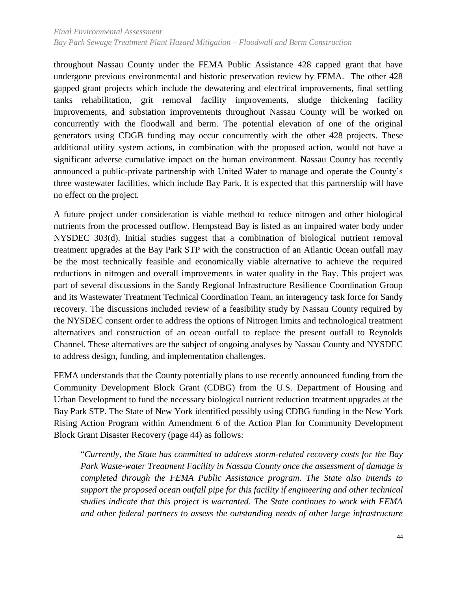throughout Nassau County under the FEMA Public Assistance 428 capped grant that have undergone previous environmental and historic preservation review by FEMA. The other 428 gapped grant projects which include the dewatering and electrical improvements, final settling tanks rehabilitation, grit removal facility improvements, sludge thickening facility improvements, and substation improvements throughout Nassau County will be worked on concurrently with the floodwall and berm. The potential elevation of one of the original generators using CDGB funding may occur concurrently with the other 428 projects. These additional utility system actions, in combination with the proposed action, would not have a significant adverse cumulative impact on the human environment. Nassau County has recently announced a public-private partnership with United Water to manage and operate the County's three wastewater facilities, which include Bay Park. It is expected that this partnership will have no effect on the project.

A future project under consideration is viable method to reduce nitrogen and other biological nutrients from the processed outflow. Hempstead Bay is listed as an impaired water body under NYSDEC 303(d). Initial studies suggest that a combination of biological nutrient removal treatment upgrades at the Bay Park STP with the construction of an Atlantic Ocean outfall may be the most technically feasible and economically viable alternative to achieve the required reductions in nitrogen and overall improvements in water quality in the Bay. This project was part of several discussions in the Sandy Regional Infrastructure Resilience Coordination Group and its Wastewater Treatment Technical Coordination Team, an interagency task force for Sandy recovery. The discussions included review of a feasibility study by Nassau County required by the NYSDEC consent order to address the options of Nitrogen limits and technological treatment alternatives and construction of an ocean outfall to replace the present outfall to Reynolds Channel. These alternatives are the subject of ongoing analyses by Nassau County and NYSDEC to address design, funding, and implementation challenges.

FEMA understands that the County potentially plans to use recently announced funding from the Community Development Block Grant (CDBG) from the U.S. Department of Housing and Urban Development to fund the necessary biological nutrient reduction treatment upgrades at the Bay Park STP. The State of New York identified possibly using CDBG funding in the New York Rising Action Program within Amendment 6 of the Action Plan for Community Development Block Grant Disaster Recovery (page 44) as follows:

"*Currently, the State has committed to address storm-related recovery costs for the Bay Park Waste-water Treatment Facility in Nassau County once the assessment of damage is completed through the FEMA Public Assistance program. The State also intends to support the proposed ocean outfall pipe for this facility if engineering and other technical studies indicate that this project is warranted. The State continues to work with FEMA and other federal partners to assess the outstanding needs of other large infrastructure*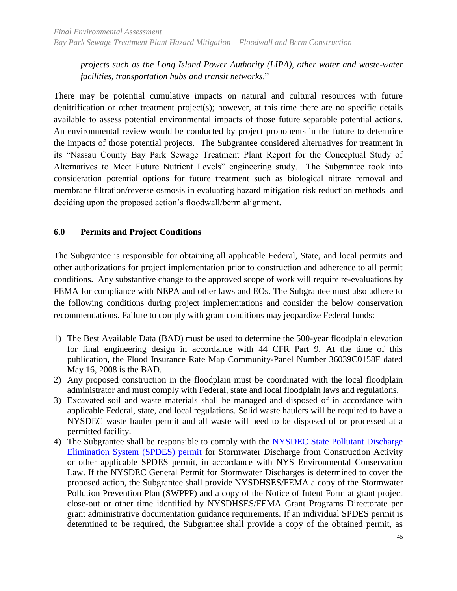*projects such as the Long Island Power Authority (LIPA), other water and waste-water facilities, transportation hubs and transit networks*."

There may be potential cumulative impacts on natural and cultural resources with future denitrification or other treatment project(s); however, at this time there are no specific details available to assess potential environmental impacts of those future separable potential actions. An environmental review would be conducted by project proponents in the future to determine the impacts of those potential projects. The Subgrantee considered alternatives for treatment in its "Nassau County Bay Park Sewage Treatment Plant Report for the Conceptual Study of Alternatives to Meet Future Nutrient Levels" engineering study. The Subgrantee took into consideration potential options for future treatment such as biological nitrate removal and membrane filtration/reverse osmosis in evaluating hazard mitigation risk reduction methods and deciding upon the proposed action's floodwall/berm alignment.

## <span id="page-54-0"></span>**6.0 Permits and Project Conditions**

The Subgrantee is responsible for obtaining all applicable Federal, State, and local permits and other authorizations for project implementation prior to construction and adherence to all permit conditions. Any substantive change to the approved scope of work will require re-evaluations by FEMA for compliance with NEPA and other laws and EOs. The Subgrantee must also adhere to the following conditions during project implementations and consider the below conservation recommendations. Failure to comply with grant conditions may jeopardize Federal funds:

- 1) The Best Available Data (BAD) must be used to determine the 500-year floodplain elevation for final engineering design in accordance with 44 CFR Part 9. At the time of this publication, the Flood Insurance Rate Map Community-Panel Number 36039C0158F dated May 16, 2008 is the BAD.
- 2) Any proposed construction in the floodplain must be coordinated with the local floodplain administrator and must comply with Federal, state and local floodplain laws and regulations.
- 3) Excavated soil and waste materials shall be managed and disposed of in accordance with applicable Federal, state, and local regulations. Solid waste haulers will be required to have a NYSDEC waste hauler permit and all waste will need to be disposed of or processed at a permitted facility.
- 4) The Subgrantee shall be responsible to comply with the [NYSDEC State Pollutant Discharge](http://www.dec.ny.gov/chemical/43133.html)  [Elimination System \(SPDES\) permit](http://www.dec.ny.gov/chemical/43133.html) for Stormwater Discharge from Construction Activity or other applicable SPDES permit, in accordance with NYS Environmental Conservation Law. If the NYSDEC General Permit for Stormwater Discharges is determined to cover the proposed action, the Subgrantee shall provide NYSDHSES/FEMA a copy of the Stormwater Pollution Prevention Plan (SWPPP) and a copy of the Notice of Intent Form at grant project close-out or other time identified by NYSDHSES/FEMA Grant Programs Directorate per grant administrative documentation guidance requirements. If an individual SPDES permit is determined to be required, the Subgrantee shall provide a copy of the obtained permit, as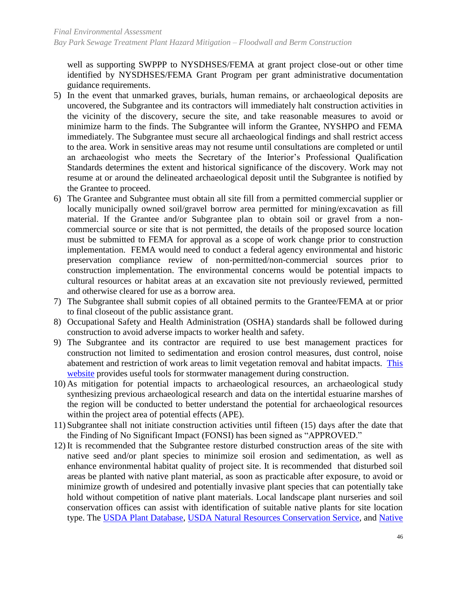well as supporting SWPPP to NYSDHSES/FEMA at grant project close-out or other time identified by NYSDHSES/FEMA Grant Program per grant administrative documentation guidance requirements.

- 5) In the event that unmarked graves, burials, human remains, or archaeological deposits are uncovered, the Subgrantee and its contractors will immediately halt construction activities in the vicinity of the discovery, secure the site, and take reasonable measures to avoid or minimize harm to the finds. The Subgrantee will inform the Grantee, NYSHPO and FEMA immediately. The Subgrantee must secure all archaeological findings and shall restrict access to the area. Work in sensitive areas may not resume until consultations are completed or until an archaeologist who meets the Secretary of the Interior's Professional Qualification Standards determines the extent and historical significance of the discovery. Work may not resume at or around the delineated archaeological deposit until the Subgrantee is notified by the Grantee to proceed.
- 6) The Grantee and Subgrantee must obtain all site fill from a permitted commercial supplier or locally municipally owned soil/gravel borrow area permitted for mining/excavation as fill material. If the Grantee and/or Subgrantee plan to obtain soil or gravel from a noncommercial source or site that is not permitted, the details of the proposed source location must be submitted to FEMA for approval as a scope of work change prior to construction implementation. FEMA would need to conduct a federal agency environmental and historic preservation compliance review of non-permitted/non-commercial sources prior to construction implementation. The environmental concerns would be potential impacts to cultural resources or habitat areas at an excavation site not previously reviewed, permitted and otherwise cleared for use as a borrow area.
- 7) The Subgrantee shall submit copies of all obtained permits to the Grantee/FEMA at or prior to final closeout of the public assistance grant.
- 8) Occupational Safety and Health Administration (OSHA) standards shall be followed during construction to avoid adverse impacts to worker health and safety.
- 9) The Subgrantee and its contractor are required to use best management practices for construction not limited to sedimentation and erosion control measures, dust control, noise abatement and restriction of work areas to limit vegetation removal and habitat impacts. [This](http://www.dec.ny.gov/chemical/8694.htm)  [website](http://www.dec.ny.gov/chemical/8694.htm) provides useful tools for stormwater management during construction.
- 10) As mitigation for potential impacts to archaeological resources, an archaeological study synthesizing previous archaeological research and data on the intertidal estuarine marshes of the region will be conducted to better understand the potential for archaeological resources within the project area of potential effects (APE).
- 11) Subgrantee shall not initiate construction activities until fifteen (15) days after the date that the Finding of No Significant Impact (FONSI) has been signed as "APPROVED."
- 12) It is recommended that the Subgrantee restore disturbed construction areas of the site with native seed and/or plant species to minimize soil erosion and sedimentation, as well as enhance environmental habitat quality of project site. It is recommended that disturbed soil areas be planted with native plant material, as soon as practicable after exposure, to avoid or minimize growth of undesired and potentially invasive plant species that can potentially take hold without competition of native plant materials. Local landscape plant nurseries and soil conservation offices can assist with identification of suitable native plants for site location type. The [USDA Plant Database,](http://plants.usda.gov/java/) [USDA Natural Resources Conservation Service,](http://www.nrcs.usda.gov/wps/portal/nrcs/main/national/plantsanimals/plants/) and [Native](http://www.fs.fed.us/wildflowers/Native_Plant_Materials/index.shtml)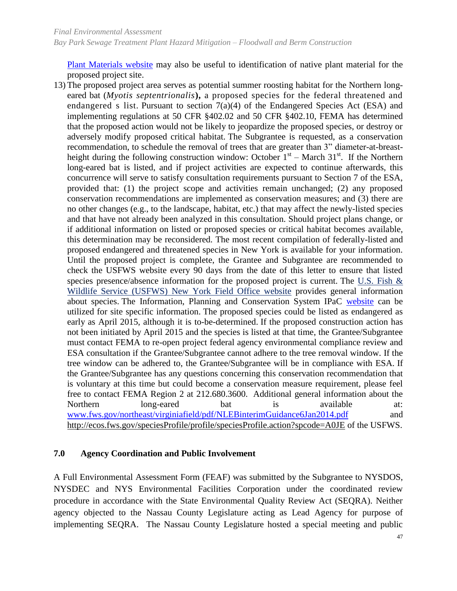[Plant Materials website](http://www.fs.fed.us/wildflowers/Native_Plant_Materials/index.shtml) may also be useful to identification of native plant material for the proposed project site.

13) The proposed project area serves as potential summer roosting habitat for the Northern longeared bat (*Myotis septentrionalis***),** a proposed species for the federal threatened and endangered s list. Pursuant to section 7(a)(4) of the Endangered Species Act (ESA) and implementing regulations at 50 CFR §402.02 and 50 CFR §402.10, FEMA has determined that the proposed action would not be likely to jeopardize the proposed species, or destroy or adversely modify proposed critical habitat. The Subgrantee is requested, as a conservation recommendation, to schedule the removal of trees that are greater than 3" diameter-at-breastheight during the following construction window: October  $1<sup>st</sup>$  – March 31<sup>st</sup>. If the Northern long-eared bat is listed, and if project activities are expected to continue afterwards, this concurrence will serve to satisfy consultation requirements pursuant to Section 7 of the ESA, provided that: (1) the project scope and activities remain unchanged; (2) any proposed conservation recommendations are implemented as conservation measures; and (3) there are no other changes (e.g., to the landscape, habitat, etc.) that may affect the newly-listed species and that have not already been analyzed in this consultation. Should project plans change, or if additional information on listed or proposed species or critical habitat becomes available, this determination may be reconsidered. The most recent compilation of federally-listed and proposed endangered and threatened species in New York is available for your information. Until the proposed project is complete, the Grantee and Subgrantee are recommended to check the USFWS website every 90 days from the date of this letter to ensure that listed species presence/absence information for the proposed project is current. The [U.S. Fish &](http://www.fws.gov/northeast/nyfo/)  [Wildlife Service \(USFWS\) New York Field Office website](http://www.fws.gov/northeast/nyfo/) provides general information about species. The Information, Planning and Conservation System IPaC [website](http://ecos.fws.gov/ipac/) can be utilized for site specific information. The proposed species could be listed as endangered as early as April 2015, although it is to-be-determined. If the proposed construction action has not been initiated by April 2015 and the species is listed at that time, the Grantee/Subgrantee must contact FEMA to re-open project federal agency environmental compliance review and ESA consultation if the Grantee/Subgrantee cannot adhere to the tree removal window. If the tree window can be adhered to, the Grantee/Subgrantee will be in compliance with ESA. If the Grantee/Subgrantee has any questions concerning this conservation recommendation that is voluntary at this time but could become a conservation measure requirement, please feel free to contact FEMA Region 2 at 212.680.3600. Additional general information about the Northern long-eared bat is available at: [www.fws.gov/northeast/virginiafield/pdf/NLEBinterimGuidance6Jan2014.pdf](http://www.fws.gov/northeast/virginiafield/pdf/NLEBinterimGuidance6Jan2014.pdf) and <http://ecos.fws.gov/speciesProfile/profile/speciesProfile.action?spcode=A0JE> of the USFWS.

#### <span id="page-56-0"></span>**7.0 Agency Coordination and Public Involvement**

A Full Environmental Assessment Form (FEAF) was submitted by the Subgrantee to NYSDOS, NYSDEC and NYS Environmental Facilities Corporation under the coordinated review procedure in accordance with the State Environmental Quality Review Act (SEQRA). Neither agency objected to the Nassau County Legislature acting as Lead Agency for purpose of implementing SEQRA. The Nassau County Legislature hosted a special meeting and public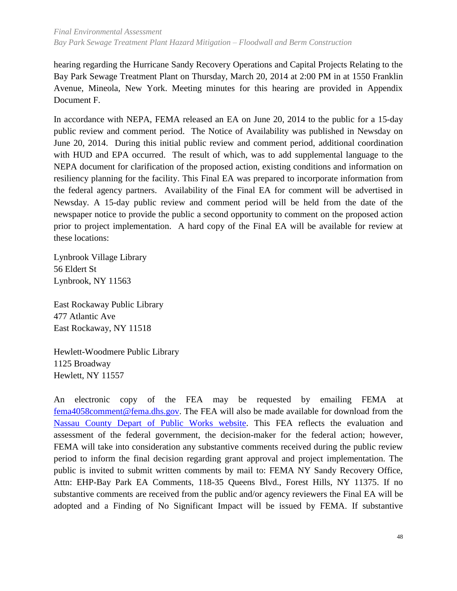hearing regarding the Hurricane Sandy Recovery Operations and Capital Projects Relating to the Bay Park Sewage Treatment Plant on Thursday, March 20, 2014 at 2:00 PM in at 1550 Franklin Avenue, Mineola, New York. Meeting minutes for this hearing are provided in Appendix Document F.

In accordance with NEPA, FEMA released an EA on June 20, 2014 to the public for a 15-day public review and comment period. The Notice of Availability was published in Newsday on June 20, 2014. During this initial public review and comment period, additional coordination with HUD and EPA occurred. The result of which, was to add supplemental language to the NEPA document for clarification of the proposed action, existing conditions and information on resiliency planning for the facility. This Final EA was prepared to incorporate information from the federal agency partners. Availability of the Final EA for comment will be advertised in Newsday. A 15-day public review and comment period will be held from the date of the newspaper notice to provide the public a second opportunity to comment on the proposed action prior to project implementation. A hard copy of the Final EA will be available for review at these locations:

Lynbrook Village Library [56 Eldert St](x-apple-data-detectors://0/) [Lynbrook, NY 11563](x-apple-data-detectors://0/)

East Rockaway Public Library [477 Atlantic Ave](x-apple-data-detectors://1/) [East Rockaway, NY 11518](x-apple-data-detectors://1/)

Hewlett-Woodmere Public Library [1125 Broadway](x-apple-data-detectors://2/) [Hewlett, NY 11557](x-apple-data-detectors://2/)

An electronic copy of the FEA may be requested by emailing FEMA at [fema4058comment@fema.dhs.gov.](file:///C:/Users/maudin/AppData/Local/Microsoft/Windows/Temporary%20Internet%20Files/Content.Outlook/33A7HUEJ/fema4058comment@fema.dhs.gov) The FEA will also be made available for download from the [Nassau County Depart of Public Works website.](http://www.nassaucountyny.gov/agencies/DPW/WasteWater.html) This FEA reflects the evaluation and assessment of the federal government, the decision-maker for the federal action; however, FEMA will take into consideration any substantive comments received during the public review period to inform the final decision regarding grant approval and project implementation. The public is invited to submit written comments by mail to: FEMA NY Sandy Recovery Office, Attn: EHP-Bay Park EA Comments, 118-35 Queens Blvd., Forest Hills, NY 11375. If no substantive comments are received from the public and/or agency reviewers the Final EA will be adopted and a Finding of No Significant Impact will be issued by FEMA. If substantive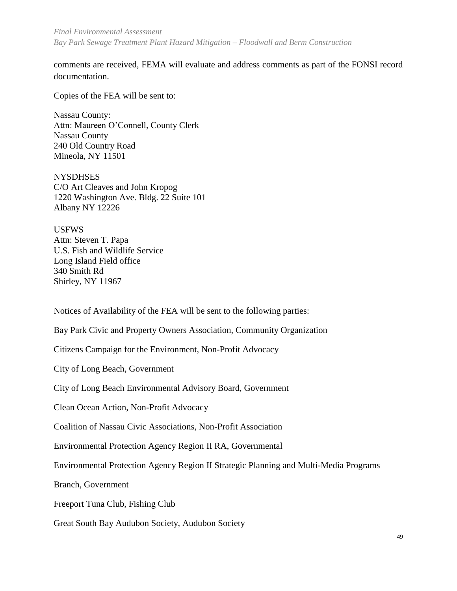*Final Environmental Assessment Bay Park Sewage Treatment Plant Hazard Mitigation – Floodwall and Berm Construction*

comments are received, FEMA will evaluate and address comments as part of the FONSI record documentation.

Copies of the FEA will be sent to:

Nassau County: Attn: Maureen O'Connell, County Clerk Nassau County 240 Old Country Road Mineola, NY 11501

**NYSDHSES** C/O Art Cleaves and John Kropog 1220 Washington Ave. Bldg. 22 Suite 101 Albany NY 12226

USFWS Attn: Steven T. Papa U.S. Fish and Wildlife Service Long Island Field office 340 Smith Rd Shirley, NY 11967

Notices of Availability of the FEA will be sent to the following parties:

Bay Park Civic and Property Owners Association, Community Organization

Citizens Campaign for the Environment, Non-Profit Advocacy

City of Long Beach, Government

City of Long Beach Environmental Advisory Board, Government

Clean Ocean Action, Non-Profit Advocacy

Coalition of Nassau Civic Associations, Non-Profit Association

Environmental Protection Agency Region II RA, Governmental

Environmental Protection Agency Region II Strategic Planning and Multi-Media Programs

Branch, Government

Freeport Tuna Club, Fishing Club

Great South Bay Audubon Society, Audubon Society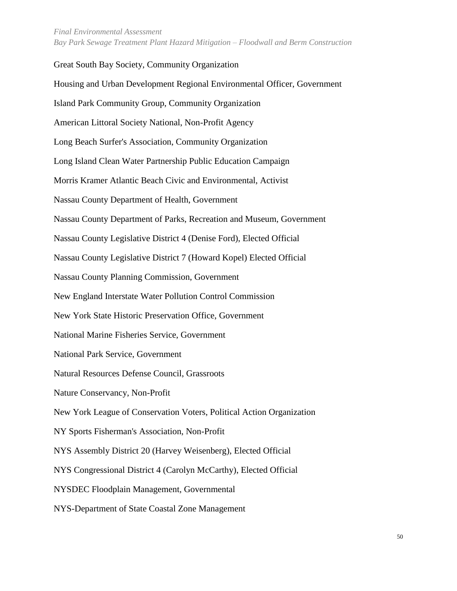Great South Bay Society, Community Organization

# Housing and Urban Development Regional Environmental Officer, Government Island Park Community Group, Community Organization American Littoral Society National, Non-Profit Agency Long Beach Surfer's Association, Community Organization Long Island Clean Water Partnership Public Education Campaign Morris Kramer Atlantic Beach Civic and Environmental, Activist Nassau County Department of Health, Government Nassau County Department of Parks, Recreation and Museum, Government Nassau County Legislative District 4 (Denise Ford), Elected Official Nassau County Legislative District 7 (Howard Kopel) Elected Official Nassau County Planning Commission, Government New England Interstate Water Pollution Control Commission New York State Historic Preservation Office, Government National Marine Fisheries Service, Government National Park Service, Government Natural Resources Defense Council, Grassroots Nature Conservancy, Non-Profit New York League of Conservation Voters, Political Action Organization NY Sports Fisherman's Association, Non-Profit NYS Assembly District 20 (Harvey Weisenberg), Elected Official NYS Congressional District 4 (Carolyn McCarthy), Elected Official NYSDEC Floodplain Management, Governmental NYS-Department of State Coastal Zone Management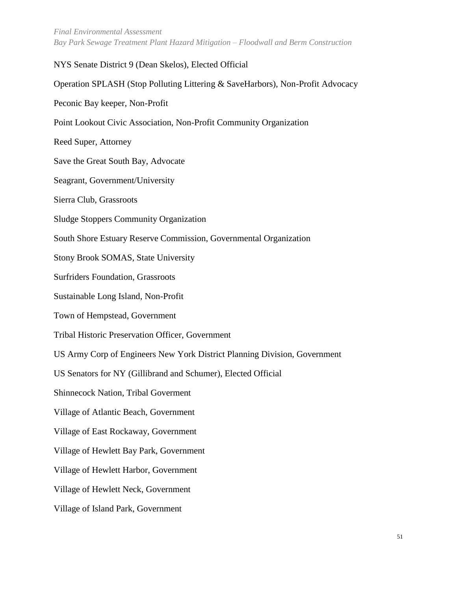*Final Environmental Assessment Bay Park Sewage Treatment Plant Hazard Mitigation – Floodwall and Berm Construction*

NYS Senate District 9 (Dean Skelos), Elected Official Operation SPLASH (Stop Polluting Littering & SaveHarbors), Non-Profit Advocacy Peconic Bay keeper, Non-Profit Point Lookout Civic Association, Non-Profit Community Organization Reed Super, Attorney Save the Great South Bay, Advocate Seagrant, Government/University Sierra Club, Grassroots Sludge Stoppers Community Organization South Shore Estuary Reserve Commission, Governmental Organization Stony Brook SOMAS, State University Surfriders Foundation, Grassroots Sustainable Long Island, Non-Profit Town of Hempstead, Government Tribal Historic Preservation Officer, Government US Army Corp of Engineers New York District Planning Division, Government US Senators for NY (Gillibrand and Schumer), Elected Official Shinnecock Nation, Tribal Goverment Village of Atlantic Beach, Government Village of East Rockaway, Government Village of Hewlett Bay Park, Government Village of Hewlett Harbor, Government Village of Hewlett Neck, Government Village of Island Park, Government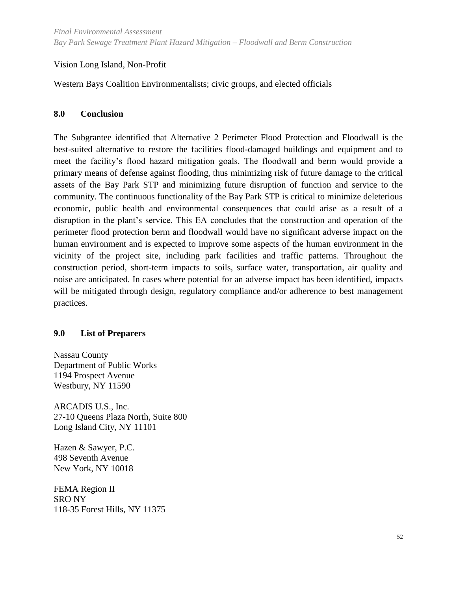#### Vision Long Island, Non-Profit

Western Bays Coalition Environmentalists; civic groups, and elected officials

#### <span id="page-61-0"></span>**8.0 Conclusion**

The Subgrantee identified that Alternative 2 Perimeter Flood Protection and Floodwall is the best-suited alternative to restore the facilities flood-damaged buildings and equipment and to meet the facility's flood hazard mitigation goals. The floodwall and berm would provide a primary means of defense against flooding, thus minimizing risk of future damage to the critical assets of the Bay Park STP and minimizing future disruption of function and service to the community. The continuous functionality of the Bay Park STP is critical to minimize deleterious economic, public health and environmental consequences that could arise as a result of a disruption in the plant's service. This EA concludes that the construction and operation of the perimeter flood protection berm and floodwall would have no significant adverse impact on the human environment and is expected to improve some aspects of the human environment in the vicinity of the project site, including park facilities and traffic patterns. Throughout the construction period, short-term impacts to soils, surface water, transportation, air quality and noise are anticipated. In cases where potential for an adverse impact has been identified, impacts will be mitigated through design, regulatory compliance and/or adherence to best management practices.

#### <span id="page-61-1"></span>**9.0 List of Preparers**

Nassau County Department of Public Works 1194 Prospect Avenue Westbury, NY 11590

ARCADIS U.S., Inc. 27-10 Queens Plaza North, Suite 800 Long Island City, NY 11101

Hazen & Sawyer, P.C. 498 Seventh Avenue New York, NY 10018

FEMA Region II SRO NY 118-35 Forest Hills, NY 11375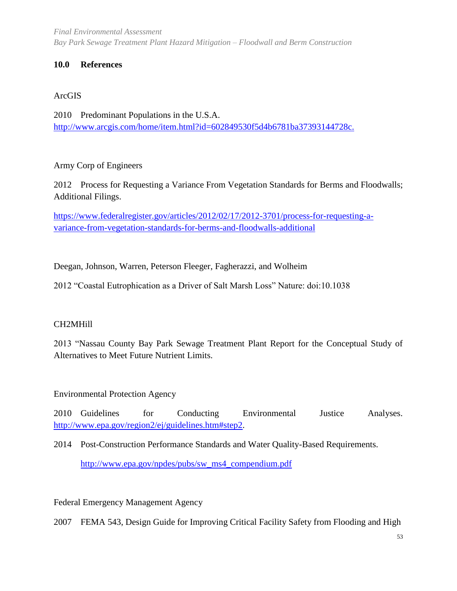*Final Environmental Assessment Bay Park Sewage Treatment Plant Hazard Mitigation – Floodwall and Berm Construction*

#### <span id="page-62-0"></span>**10.0 References**

## ArcGIS

2010 Predominant Populations in the U.S.A. <http://www.arcgis.com/home/item.html?id=602849530f5d4b6781ba37393144728c.>

## Army Corp of Engineers

2012 Process for Requesting a Variance From Vegetation Standards for Berms and Floodwalls; Additional Filings.

[https://www.federalregister.gov/articles/2012/02/17/2012-3701/process-for-requesting-a](https://www.federalregister.gov/articles/2012/02/17/2012-3701/process-for-requesting-a-variance-from-vegetation-standards-for-levees-and-floodwalls-additional)[variance-from-vegetation-standards-for-berms-and-floodwalls-additional](https://www.federalregister.gov/articles/2012/02/17/2012-3701/process-for-requesting-a-variance-from-vegetation-standards-for-levees-and-floodwalls-additional)

Deegan, Johnson, Warren, Peterson Fleeger, Fagherazzi, and Wolheim

2012 "Coastal Eutrophication as a Driver of Salt Marsh Loss" Nature: doi:10.1038

#### CH2MHill

2013 "Nassau County Bay Park Sewage Treatment Plant Report for the Conceptual Study of Alternatives to Meet Future Nutrient Limits.

Environmental Protection Agency

2010 Guidelines for Conducting Environmental Justice Analyses. [http://www.epa.gov/region2/ej/guidelines.htm#step2.](http://www.epa.gov/region2/ej/guidelines.htm#step2)

2014 Post-Construction Performance Standards and Water Quality-Based Requirements. [http://www.epa.gov/npdes/pubs/sw\\_ms4\\_compendium.pdf](http://www.epa.gov/npdes/pubs/sw_ms4_compendium.pdf)

Federal Emergency Management Agency

2007 FEMA 543, Design Guide for Improving Critical Facility Safety from Flooding and High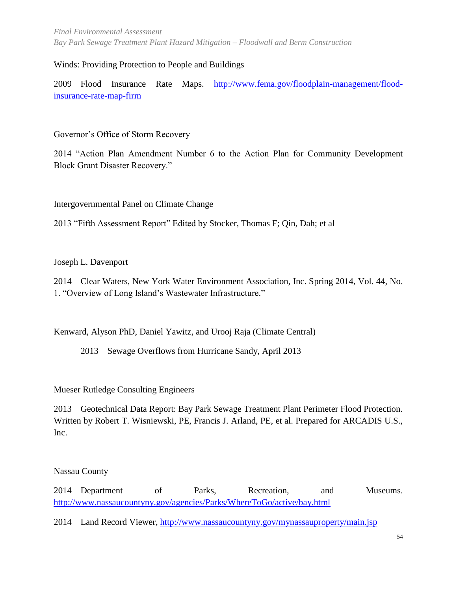*Final Environmental Assessment Bay Park Sewage Treatment Plant Hazard Mitigation – Floodwall and Berm Construction*

#### Winds: Providing Protection to People and Buildings

2009 Flood Insurance Rate Maps. [http://www.fema.gov/floodplain-management/flood](http://www.fema.gov/floodplain-management/flood-insurance-rate-map-firm)[insurance-rate-map-firm](http://www.fema.gov/floodplain-management/flood-insurance-rate-map-firm)

Governor's Office of Storm Recovery

2014 "Action Plan Amendment Number 6 to the Action Plan for Community Development Block Grant Disaster Recovery."

Intergovernmental Panel on Climate Change

2013 "Fifth Assessment Report" Edited by Stocker, Thomas F; Qin, Dah; et al

Joseph L. Davenport

2014 Clear Waters, New York Water Environment Association, Inc. Spring 2014, Vol. 44, No. 1. "Overview of Long Island's Wastewater Infrastructure."

Kenward, Alyson PhD, Daniel Yawitz, and Urooj Raja (Climate Central)

2013 Sewage Overflows from Hurricane Sandy, April 2013

Mueser Rutledge Consulting Engineers

2013 Geotechnical Data Report: Bay Park Sewage Treatment Plant Perimeter Flood Protection. Written by Robert T. Wisniewski, PE, Francis J. Arland, PE, et al. Prepared for ARCADIS U.S., Inc.

Nassau County

2014 Department of Parks, Recreation, and Museums. <http://www.nassaucountyny.gov/agencies/Parks/WhereToGo/active/bay.html>

2014 Land Record Viewer,<http://www.nassaucountyny.gov/mynassauproperty/main.jsp>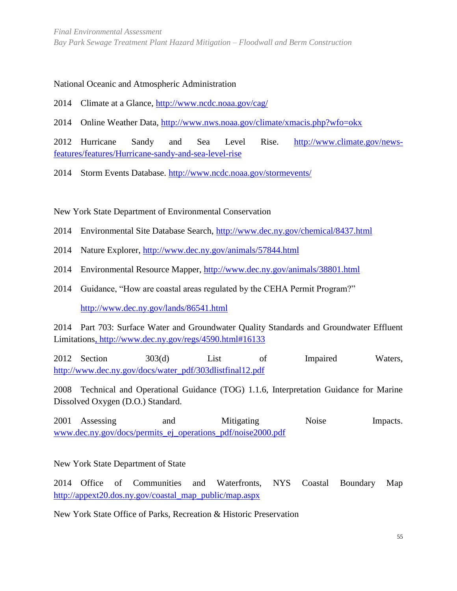#### National Oceanic and Atmospheric Administration

2014 Climate at a Glance,<http://www.ncdc.noaa.gov/cag/>

2014 Online Weather Data, [http://www.nws.noaa.gov/climate/xmacis.php?wfo=okx](http://www.nws.noaa.gov/climate/xmacis.php?wfo=okx%20)

2012 Hurricane Sandy and Sea Level Rise. [http://www.climate.gov/news](http://www.climate.gov/news-features/features/Hurricane-sandy-and-sea-level-rise)[features/features/Hurricane-sandy-and-sea-level-rise](http://www.climate.gov/news-features/features/Hurricane-sandy-and-sea-level-rise)

2014 Storm Events Database.<http://www.ncdc.noaa.gov/stormevents/>

New York State Department of Environmental Conservation

- 2014 Environmental Site Database Search,<http://www.dec.ny.gov/chemical/8437.html>
- 2014 Nature Explorer,<http://www.dec.ny.gov/animals/57844.html>
- 2014 Environmental Resource Mapper,<http://www.dec.ny.gov/animals/38801.html>
- 2014 Guidance, "How are coastal areas regulated by the CEHA Permit Program?"

<http://www.dec.ny.gov/lands/86541.html>

2014 Part 703: Surface Water and Groundwater Quality Standards and Groundwater Effluent Limitation[s, http://www.dec.ny.gov/regs/4590.html#16133](file:///C:/Users/maudin/AppData/Local/Microsoft/Windows/Temporary%20Internet%20Files/Content.Outlook/5VGLSHCM/,%20http:/www.dec.ny.gov/regs/4590.html%2316133)

2012 Section 303(d) List of Impaired Waters, [http://www.dec.ny.gov/docs/water\\_pdf/303dlistfinal12.pdf](http://www.dec.ny.gov/docs/water_pdf/303dlistfinal12.pdf)

2008 Technical and Operational Guidance (TOG) 1.1.6, Interpretation Guidance for Marine Dissolved Oxygen (D.O.) Standard.

2001 Assessing and Mitigating Noise Impacts. [www.dec.ny.gov/docs/permits\\_ej\\_operations\\_pdf/noise2000.pdf](file:///C:/Users/maudin/AppData/Local/Microsoft/Windows/Temporary%20Internet%20Files/Content.Outlook/5VGLSHCM/www.dec.ny.gov/docs/permits_ej_operations_pdf/noise2000.pdf)

New York State Department of State

2014 Office of Communities and Waterfronts, NYS Coastal Boundary Map [http://appext20.dos.ny.gov/coastal\\_map\\_public/map.aspx](http://appext20.dos.ny.gov/coastal_map_public/map.aspx)

New York State Office of Parks, Recreation & Historic Preservation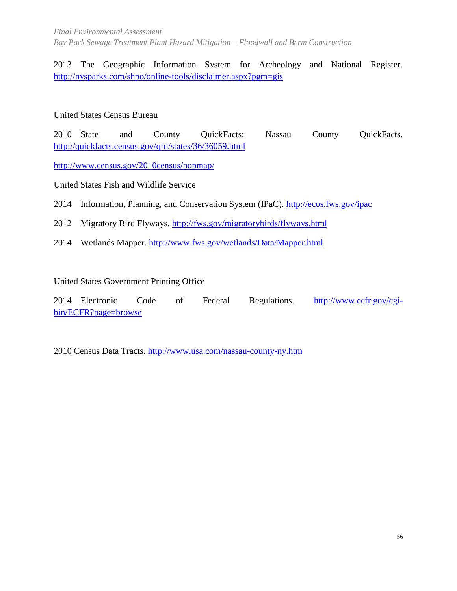*Final Environmental Assessment Bay Park Sewage Treatment Plant Hazard Mitigation – Floodwall and Berm Construction*

2013 The Geographic Information System for Archeology and National Register. [http://nysparks.com/shpo/online-tools/disclaimer.aspx?pgm=gis](http://nysparks.com/shpo/online-tools/disclaimer.aspx?pgm=gis%20)

United States Census Bureau

2010 State and County QuickFacts: Nassau County QuickFacts. <http://quickfacts.census.gov/qfd/states/36/36059.html>

<http://www.census.gov/2010census/popmap/>

United States Fish and Wildlife Service

2014 Information, Planning, and Conservation System (IPaC).<http://ecos.fws.gov/ipac>

2012 Migratory Bird Flyways.<http://fws.gov/migratorybirds/flyways.html>

2014 Wetlands Mapper.<http://www.fws.gov/wetlands/Data/Mapper.html>

United States Government Printing Office

2014 Electronic Code of Federal Regulations. [http://www.ecfr.gov/cgi](http://www.ecfr.gov/cgi-bin/ECFR?page=browse)[bin/ECFR?page=browse](http://www.ecfr.gov/cgi-bin/ECFR?page=browse)

<span id="page-65-0"></span>2010 Census Data Tracts.<http://www.usa.com/nassau-county-ny.htm>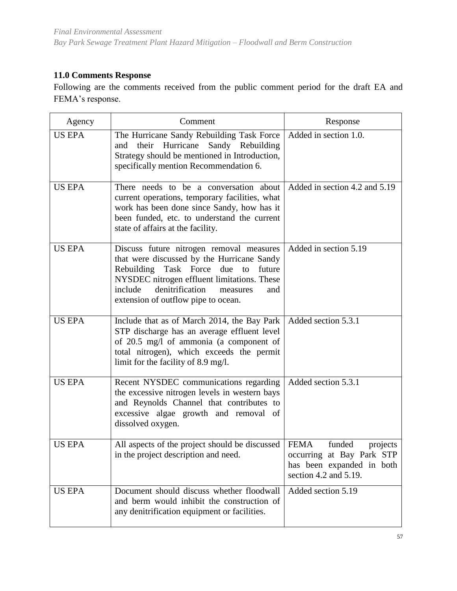## **11.0 Comments Response**

Following are the comments received from the public comment period for the draft EA and FEMA's response.

| Agency        | Comment                                                                                                                                                                                                                                                              | Response                                                                                                 |
|---------------|----------------------------------------------------------------------------------------------------------------------------------------------------------------------------------------------------------------------------------------------------------------------|----------------------------------------------------------------------------------------------------------|
| <b>US EPA</b> | The Hurricane Sandy Rebuilding Task Force<br>their Hurricane Sandy Rebuilding<br>and<br>Strategy should be mentioned in Introduction,<br>specifically mention Recommendation 6.                                                                                      | Added in section 1.0.                                                                                    |
| <b>US EPA</b> | There needs to be a conversation about<br>current operations, temporary facilities, what<br>work has been done since Sandy, how has it<br>been funded, etc. to understand the current<br>state of affairs at the facility.                                           | Added in section 4.2 and 5.19                                                                            |
| <b>US EPA</b> | Discuss future nitrogen removal measures<br>that were discussed by the Hurricane Sandy<br>Rebuilding Task Force due to future<br>NYSDEC nitrogen effluent limitations. These<br>denitrification<br>include<br>measures<br>and<br>extension of outflow pipe to ocean. | Added in section 5.19                                                                                    |
| <b>US EPA</b> | Include that as of March 2014, the Bay Park<br>STP discharge has an average effluent level<br>of 20.5 mg/l of ammonia (a component of<br>total nitrogen), which exceeds the permit<br>limit for the facility of 8.9 mg/l.                                            | Added section 5.3.1                                                                                      |
| <b>US EPA</b> | Recent NYSDEC communications regarding<br>the excessive nitrogen levels in western bays<br>and Reynolds Channel that contributes to<br>excessive algae growth and removal of<br>dissolved oxygen.                                                                    | Added section 5.3.1                                                                                      |
| <b>US EPA</b> | All aspects of the project should be discussed   FEMA<br>in the project description and need.                                                                                                                                                                        | funded<br>projects<br>occurring at Bay Park STP<br>has been expanded in both<br>section 4.2 and $5.19$ . |
| <b>US EPA</b> | Document should discuss whether floodwall<br>and berm would inhibit the construction of<br>any denitrification equipment or facilities.                                                                                                                              | Added section 5.19                                                                                       |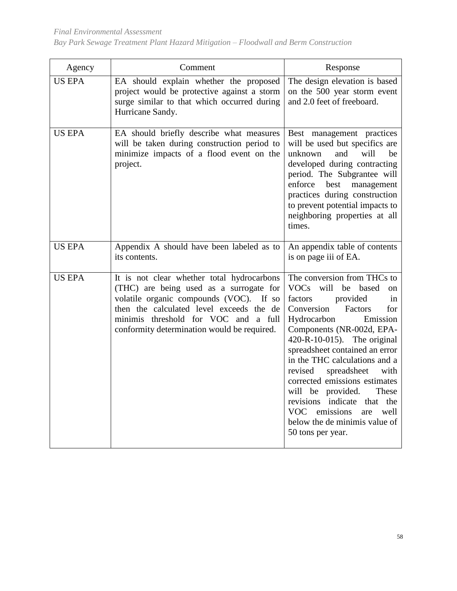| Agency        | Comment                                                                                                                                                                                                                                                             | Response                                                                                                                                                                                                                                                                                                                                                                                                                                                                                                                        |
|---------------|---------------------------------------------------------------------------------------------------------------------------------------------------------------------------------------------------------------------------------------------------------------------|---------------------------------------------------------------------------------------------------------------------------------------------------------------------------------------------------------------------------------------------------------------------------------------------------------------------------------------------------------------------------------------------------------------------------------------------------------------------------------------------------------------------------------|
| <b>US EPA</b> | EA should explain whether the proposed<br>project would be protective against a storm<br>surge similar to that which occurred during<br>Hurricane Sandy.                                                                                                            | The design elevation is based<br>on the 500 year storm event<br>and 2.0 feet of freeboard.                                                                                                                                                                                                                                                                                                                                                                                                                                      |
| <b>US EPA</b> | EA should briefly describe what measures<br>will be taken during construction period to<br>minimize impacts of a flood event on the<br>project.                                                                                                                     | Best management practices<br>will be used but specifics are<br>unknown<br>and<br>will<br>be<br>developed during contracting<br>period. The Subgrantee will<br>enforce<br>best<br>management<br>practices during construction<br>to prevent potential impacts to<br>neighboring properties at all<br>times.                                                                                                                                                                                                                      |
| <b>US EPA</b> | Appendix A should have been labeled as to<br>its contents.                                                                                                                                                                                                          | An appendix table of contents<br>is on page iii of EA.                                                                                                                                                                                                                                                                                                                                                                                                                                                                          |
| <b>US EPA</b> | It is not clear whether total hydrocarbons<br>(THC) are being used as a surrogate for<br>volatile organic compounds (VOC). If so<br>then the calculated level exceeds the de<br>minimis threshold for VOC and a full<br>conformity determination would be required. | The conversion from THCs to<br>VOCs<br>will be<br>based<br><sub>on</sub><br>factors<br>provided<br>in<br>Conversion<br>Factors<br>for<br>Hydrocarbon<br>Emission<br>Components (NR-002d, EPA-<br>420-R-10-015). The original<br>spreadsheet contained an error<br>in the THC calculations and a<br>spreadsheet<br>revised<br>with<br>corrected emissions estimates<br>will be provided.<br>These<br>revisions indicate that the<br><b>VOC</b><br>emissions<br>well<br>are<br>below the de minimis value of<br>50 tons per year. |